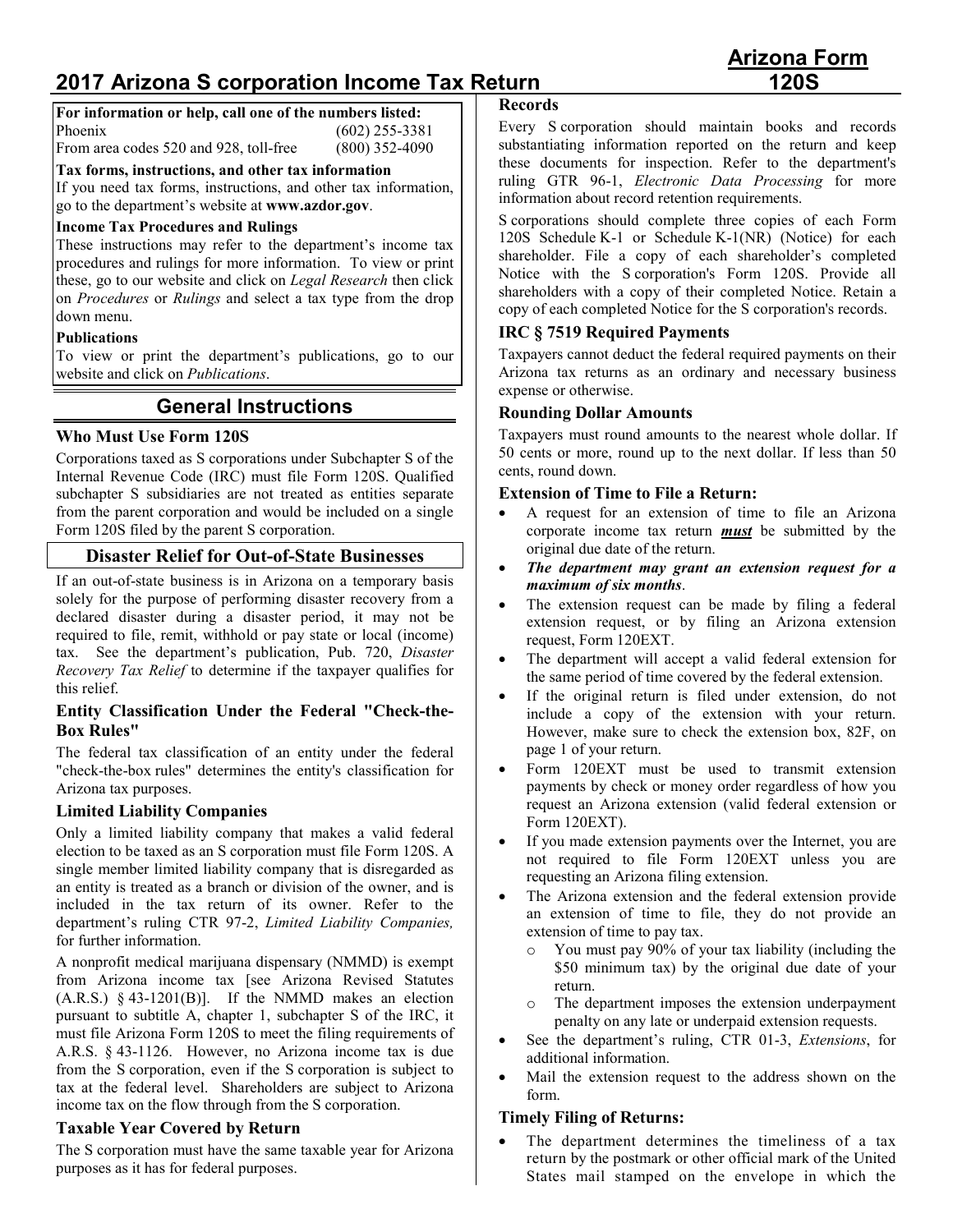# **2017 Arizona S corporation Income Tax Return**

**For information or help, call one of the numbers listed:** Phoenix (602) 255-3381

From area codes 520 and 928, toll-free (800) 352-4090

**Tax forms, instructions, and other tax information**

If you need tax forms, instructions, and other tax information, go to the department's website at **www.azdor.gov**.

## **Income Tax Procedures and Rulings**

These instructions may refer to the department's income tax procedures and rulings for more information. To view or print these, go to our website and click on *Legal Research* then click on *Procedures* or *Rulings* and select a tax type from the drop down menu.

#### **Publications**

To view or print the department's publications, go to our website and click on *Publications*.

# **General Instructions**

## **Who Must Use Form 120S**

Corporations taxed as S corporations under Subchapter S of the Internal Revenue Code (IRC) must file Form 120S. Qualified subchapter S subsidiaries are not treated as entities separate from the parent corporation and would be included on a single Form 120S filed by the parent S corporation.

## **Disaster Relief for Out-of-State Businesses**

If an out-of-state business is in Arizona on a temporary basis solely for the purpose of performing disaster recovery from a declared disaster during a disaster period, it may not be required to file, remit, withhold or pay state or local (income) tax. See the department's publication, Pub. 720, *Disaster Recovery Tax Relief* to determine if the taxpayer qualifies for this relief.

#### **Entity Classification Under the Federal "Check-the-Box Rules"**

The federal tax classification of an entity under the federal "check-the-box rules" determines the entity's classification for Arizona tax purposes.

#### **Limited Liability Companies**

Only a limited liability company that makes a valid federal election to be taxed as an S corporation must file Form 120S. A single member limited liability company that is disregarded as an entity is treated as a branch or division of the owner, and is included in the tax return of its owner. Refer to the department's ruling CTR 97-2, *Limited Liability Companies,* for further information.

A nonprofit medical marijuana dispensary (NMMD) is exempt from Arizona income tax [see Arizona Revised Statutes  $(A.R.S.)$  § 43-1201(B)]. If the NMMD makes an election pursuant to subtitle A, chapter 1, subchapter S of the IRC, it must file Arizona Form 120S to meet the filing requirements of A.R.S. § 43-1126. However, no Arizona income tax is due from the S corporation, even if the S corporation is subject to tax at the federal level. Shareholders are subject to Arizona income tax on the flow through from the S corporation.

## **Taxable Year Covered by Return**

The S corporation must have the same taxable year for Arizona purposes as it has for federal purposes.

#### **Records**

Every S corporation should maintain books and records substantiating information reported on the return and keep these documents for inspection. Refer to the department's ruling GTR 96-1, *Electronic Data Processing* for more information about record retention requirements.

S corporations should complete three copies of each Form 120S Schedule K-1 or Schedule K-1(NR) (Notice) for each shareholder. File a copy of each shareholder's completed Notice with the S corporation's Form 120S. Provide all shareholders with a copy of their completed Notice. Retain a copy of each completed Notice for the S corporation's records.

## **IRC § 7519 Required Payments**

Taxpayers cannot deduct the federal required payments on their Arizona tax returns as an ordinary and necessary business expense or otherwise.

#### **Rounding Dollar Amounts**

Taxpayers must round amounts to the nearest whole dollar. If 50 cents or more, round up to the next dollar. If less than 50 cents, round down.

#### **Extension of Time to File a Return:**

- A request for an extension of time to file an Arizona corporate income tax return *must* be submitted by the original due date of the return.
- *The department may grant an extension request for a maximum of six months*.
- The extension request can be made by filing a federal extension request, or by filing an Arizona extension request, Form 120EXT.
- The department will accept a valid federal extension for the same period of time covered by the federal extension.
- If the original return is filed under extension, do not include a copy of the extension with your return. However, make sure to check the extension box, 82F, on page 1 of your return.
- Form 120EXT must be used to transmit extension payments by check or money order regardless of how you request an Arizona extension (valid federal extension or Form 120EXT).
- If you made extension payments over the Internet, you are not required to file Form 120EXT unless you are requesting an Arizona filing extension.
- The Arizona extension and the federal extension provide an extension of time to file, they do not provide an extension of time to pay tax.
	- o You must pay 90% of your tax liability (including the \$50 minimum tax) by the original due date of your return.
	- o The department imposes the extension underpayment penalty on any late or underpaid extension requests.
- See the department's ruling, CTR 01-3, *Extensions*, for additional information.
- Mail the extension request to the address shown on the form.

## **Timely Filing of Returns:**

• The department determines the timeliness of a tax return by the postmark or other official mark of the United States mail stamped on the envelope in which the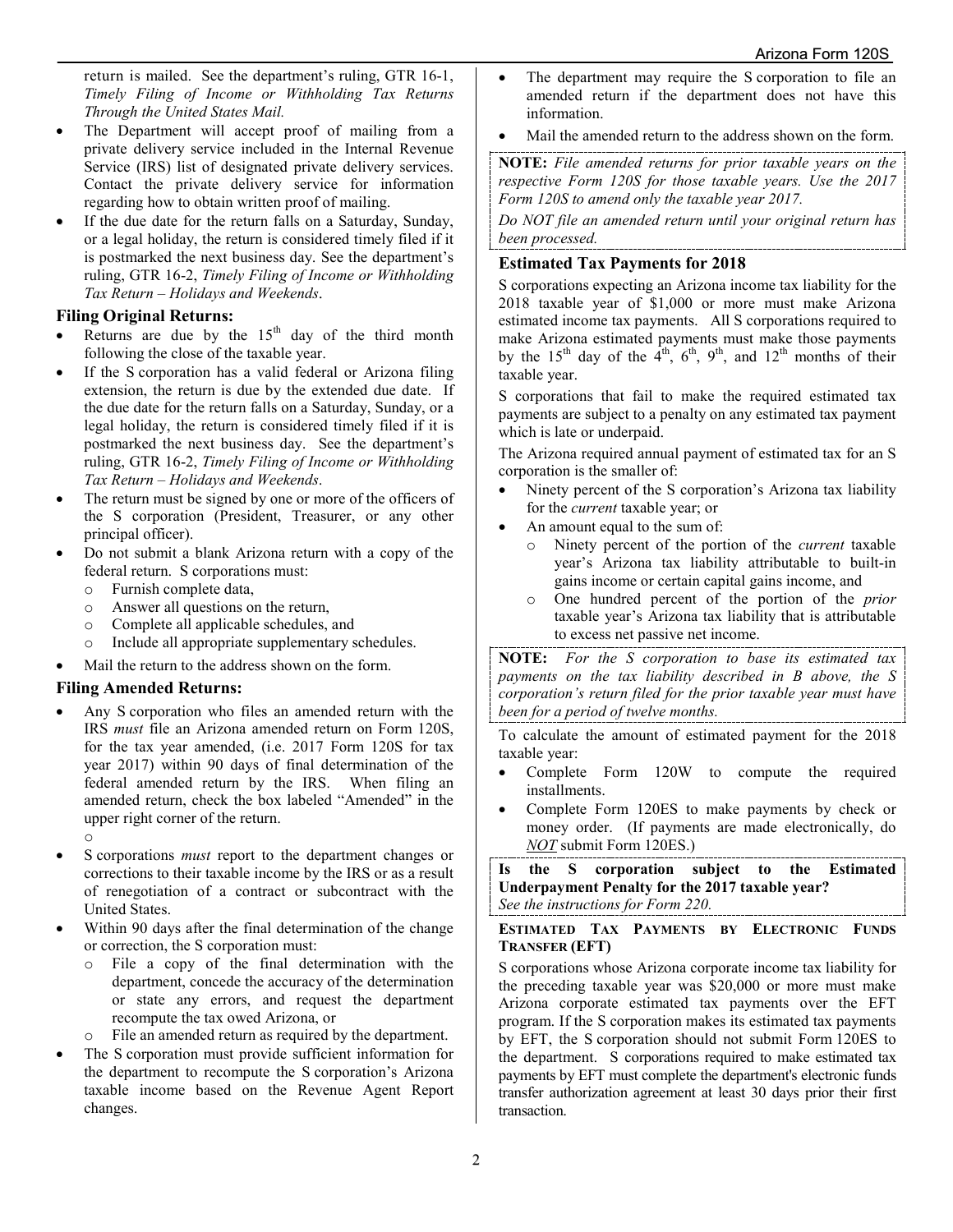return is mailed. See the department's ruling, GTR 16-1, *Timely Filing of Income or Withholding Tax Returns Through the United States Mail.*

- The Department will accept proof of mailing from a private delivery service included in the Internal Revenue Service (IRS) list of designated private delivery services. Contact the private delivery service for information regarding how to obtain written proof of mailing.
- If the due date for the return falls on a Saturday, Sunday, or a legal holiday, the return is considered timely filed if it is postmarked the next business day. See the department's ruling, GTR 16-2, *Timely Filing of Income or Withholding Tax Return – Holidays and Weekends*.

## **Filing Original Returns:**

- Returns are due by the  $15<sup>th</sup>$  day of the third month following the close of the taxable year.
- If the S corporation has a valid federal or Arizona filing extension, the return is due by the extended due date. If the due date for the return falls on a Saturday, Sunday, or a legal holiday, the return is considered timely filed if it is postmarked the next business day. See the department's ruling, GTR 16-2, *Timely Filing of Income or Withholding Tax Return – Holidays and Weekends*.
- The return must be signed by one or more of the officers of the S corporation (President, Treasurer, or any other principal officer).
- Do not submit a blank Arizona return with a copy of the federal return. S corporations must:
	- o Furnish complete data,
	- $\circ$  Answer all questions on the return,<br>  $\circ$  Complete all applicable schedules
	- Complete all applicable schedules, and
	- o Include all appropriate supplementary schedules.
- Mail the return to the address shown on the form.

## **Filing Amended Returns:**

• Any S corporation who files an amended return with the IRS *must* file an Arizona amended return on Form 120S, for the tax year amended, (i.e. 2017 Form 120S for tax year 2017) within 90 days of final determination of the federal amended return by the IRS. When filing an amended return, check the box labeled "Amended" in the upper right corner of the return.

o

- S corporations *must* report to the department changes or corrections to their taxable income by the IRS or as a result of renegotiation of a contract or subcontract with the United States.
- Within 90 days after the final determination of the change or correction, the S corporation must:
	- o File a copy of the final determination with the department, concede the accuracy of the determination or state any errors, and request the department recompute the tax owed Arizona, or
	- o File an amended return as required by the department.
- The S corporation must provide sufficient information for the department to recompute the S corporation's Arizona taxable income based on the Revenue Agent Report changes.
- The department may require the S corporation to file an amended return if the department does not have this information.
- Mail the amended return to the address shown on the form.

**NOTE:** *File amended returns for prior taxable years on the respective Form 120S for those taxable years. Use the 2017 Form 120S to amend only the taxable year 2017.*

*Do NOT file an amended return until your original return has been processed.*

## **Estimated Tax Payments for 2018**

S corporations expecting an Arizona income tax liability for the 2018 taxable year of \$1,000 or more must make Arizona estimated income tax payments. All S corporations required to make Arizona estimated payments must make those payments by the 15<sup>th</sup> day of the  $4<sup>th</sup>$ ,  $6<sup>th</sup>$ ,  $9<sup>th</sup>$ , and  $12<sup>th</sup>$  months of their taxable year.

S corporations that fail to make the required estimated tax payments are subject to a penalty on any estimated tax payment which is late or underpaid.

The Arizona required annual payment of estimated tax for an S corporation is the smaller of:

- Ninety percent of the S corporation's Arizona tax liability for the *current* taxable year; or
- An amount equal to the sum of:
	- o Ninety percent of the portion of the *current* taxable year's Arizona tax liability attributable to built-in gains income or certain capital gains income, and
	- o One hundred percent of the portion of the *prior* taxable year's Arizona tax liability that is attributable to excess net passive net income.

**NOTE:** *For the S corporation to base its estimated tax payments on the tax liability described in B above, the S corporation's return filed for the prior taxable year must have been for a period of twelve months.*

To calculate the amount of estimated payment for the 2018 taxable year:

- Complete Form 120W to compute the required installments.
- Complete Form 120ES to make payments by check or money order. (If payments are made electronically, do *NOT* submit Form 120ES.)

**Is the S corporation subject to the Estimated Underpayment Penalty for the 2017 taxable year?** *See the instructions for Form 220.* 

## **ESTIMATED TAX PAYMENTS BY ELECTRONIC FUNDS TRANSFER (EFT)**

S corporations whose Arizona corporate income tax liability for the preceding taxable year was \$20,000 or more must make Arizona corporate estimated tax payments over the EFT program. If the S corporation makes its estimated tax payments by EFT, the S corporation should not submit Form 120ES to the department. S corporations required to make estimated tax payments by EFT must complete the department's electronic funds transfer authorization agreement at least 30 days prior their first transaction.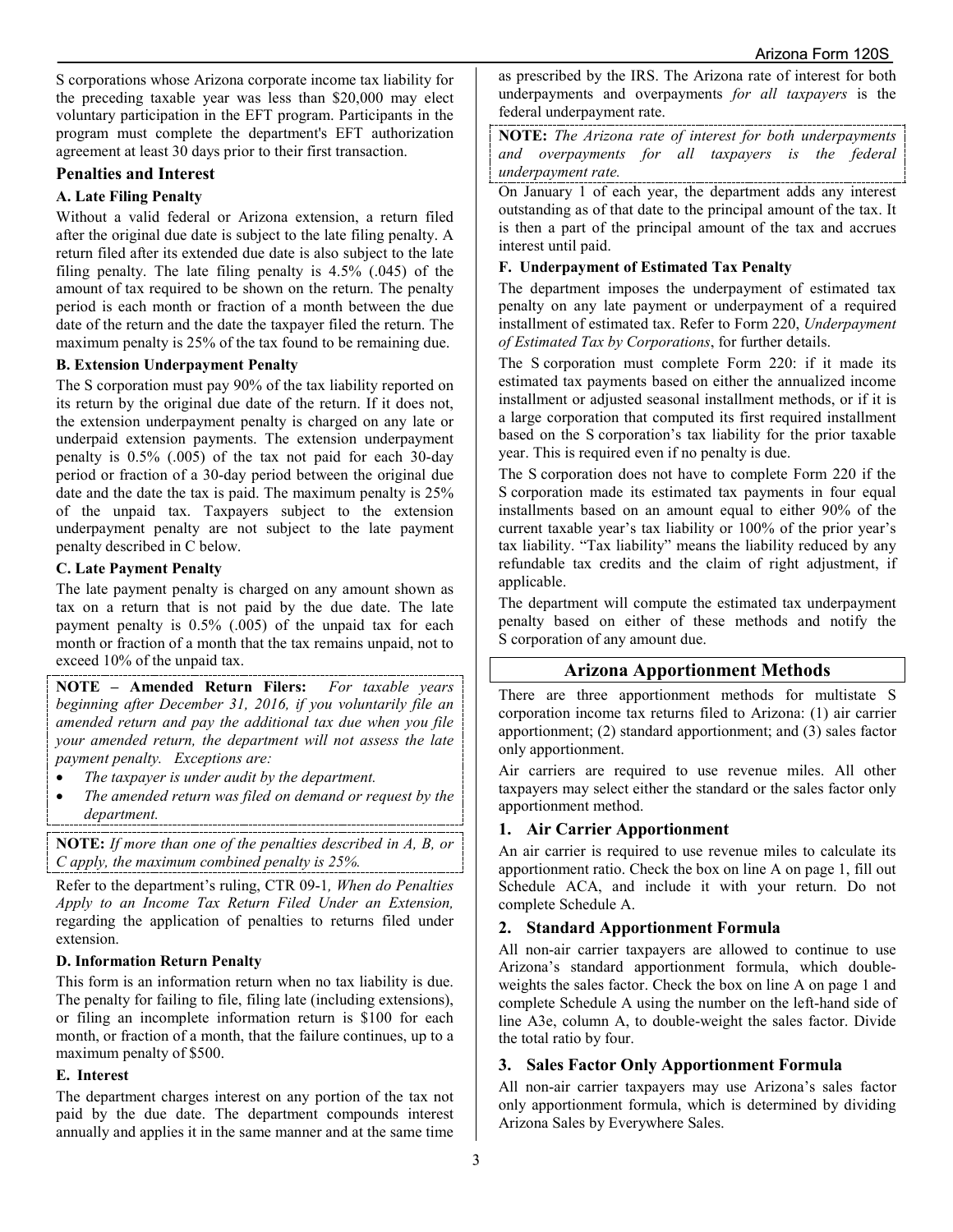S corporations whose Arizona corporate income tax liability for the preceding taxable year was less than \$20,000 may elect voluntary participation in the EFT program. Participants in the program must complete the department's EFT authorization agreement at least 30 days prior to their first transaction.

## **Penalties and Interest**

#### **A. Late Filing Penalty**

Without a valid federal or Arizona extension, a return filed after the original due date is subject to the late filing penalty. A return filed after its extended due date is also subject to the late filing penalty. The late filing penalty is 4.5% (.045) of the amount of tax required to be shown on the return. The penalty period is each month or fraction of a month between the due date of the return and the date the taxpayer filed the return. The maximum penalty is 25% of the tax found to be remaining due.

#### **B. Extension Underpayment Penalty**

The S corporation must pay 90% of the tax liability reported on its return by the original due date of the return. If it does not, the extension underpayment penalty is charged on any late or underpaid extension payments. The extension underpayment penalty is 0.5% (.005) of the tax not paid for each 30-day period or fraction of a 30-day period between the original due date and the date the tax is paid. The maximum penalty is 25% of the unpaid tax. Taxpayers subject to the extension underpayment penalty are not subject to the late payment penalty described in C below.

## **C. Late Payment Penalty**

The late payment penalty is charged on any amount shown as tax on a return that is not paid by the due date. The late payment penalty is 0.5% (.005) of the unpaid tax for each month or fraction of a month that the tax remains unpaid, not to exceed 10% of the unpaid tax.

**NOTE – Amended Return Filers:** *For taxable years beginning after December 31, 2016, if you voluntarily file an amended return and pay the additional tax due when you file your amended return, the department will not assess the late payment penalty. Exceptions are:*

- *The taxpayer is under audit by the department.*
- *The amended return was filed on demand or request by the department.*

**NOTE:** *If more than one of the penalties described in A, B, or C apply, the maximum combined penalty is 25%.*

Refer to the department's ruling, CTR 09-1*, When do Penalties Apply to an Income Tax Return Filed Under an Extension,* regarding the application of penalties to returns filed under extension.

## **D. Information Return Penalty**

This form is an information return when no tax liability is due. The penalty for failing to file, filing late (including extensions), or filing an incomplete information return is \$100 for each month, or fraction of a month, that the failure continues, up to a maximum penalty of \$500.

#### **E. Interest**

The department charges interest on any portion of the tax not paid by the due date. The department compounds interest annually and applies it in the same manner and at the same time

as prescribed by the IRS. The Arizona rate of interest for both underpayments and overpayments *for all taxpayers* is the federal underpayment rate.

**NOTE:** *The Arizona rate of interest for both underpayments and overpayments for all taxpayers is the federal underpayment rate.* 

On January 1 of each year, the department adds any interest outstanding as of that date to the principal amount of the tax. It is then a part of the principal amount of the tax and accrues interest until paid.

## **F. Underpayment of Estimated Tax Penalty**

The department imposes the underpayment of estimated tax penalty on any late payment or underpayment of a required installment of estimated tax. Refer to Form 220, *Underpayment of Estimated Tax by Corporations*, for further details.

The S corporation must complete Form 220: if it made its estimated tax payments based on either the annualized income installment or adjusted seasonal installment methods, or if it is a large corporation that computed its first required installment based on the S corporation's tax liability for the prior taxable year. This is required even if no penalty is due.

The S corporation does not have to complete Form 220 if the S corporation made its estimated tax payments in four equal installments based on an amount equal to either 90% of the current taxable year's tax liability or 100% of the prior year's tax liability. "Tax liability" means the liability reduced by any refundable tax credits and the claim of right adjustment, if applicable.

The department will compute the estimated tax underpayment penalty based on either of these methods and notify the S corporation of any amount due.

## **Arizona Apportionment Methods**

There are three apportionment methods for multistate S corporation income tax returns filed to Arizona: (1) air carrier apportionment; (2) standard apportionment; and (3) sales factor only apportionment.

Air carriers are required to use revenue miles. All other taxpayers may select either the standard or the sales factor only apportionment method.

## **1. Air Carrier Apportionment**

An air carrier is required to use revenue miles to calculate its apportionment ratio. Check the box on line A on page 1, fill out Schedule ACA, and include it with your return. Do not complete Schedule A.

## **2. Standard Apportionment Formula**

All non-air carrier taxpayers are allowed to continue to use Arizona's standard apportionment formula, which doubleweights the sales factor. Check the box on line A on page 1 and complete Schedule A using the number on the left-hand side of line A3e, column A, to double-weight the sales factor. Divide the total ratio by four.

## **3. Sales Factor Only Apportionment Formula**

All non-air carrier taxpayers may use Arizona's sales factor only apportionment formula, which is determined by dividing Arizona Sales by Everywhere Sales.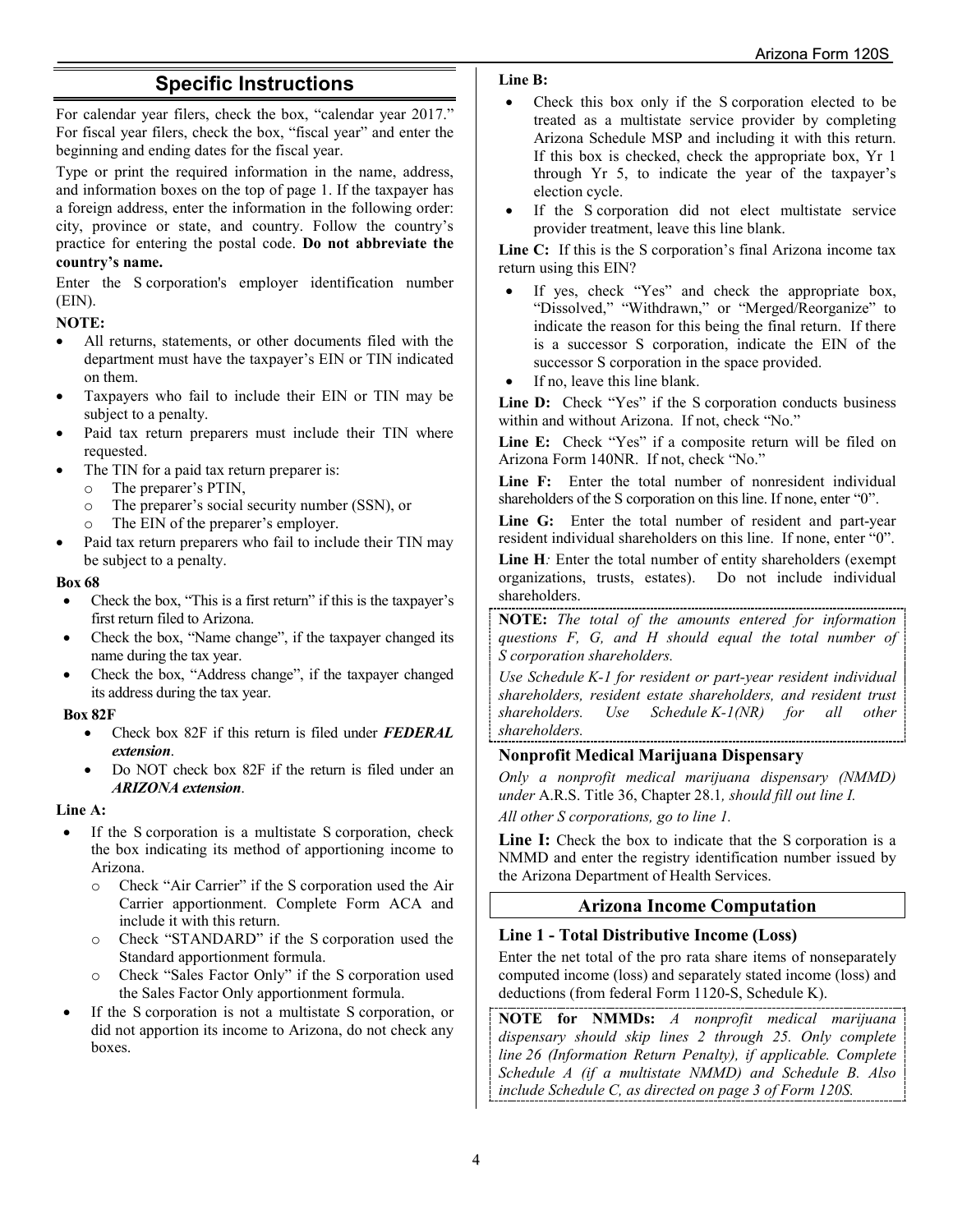# **Specific Instructions**

For calendar year filers, check the box, "calendar year 2017." For fiscal year filers, check the box, "fiscal year" and enter the beginning and ending dates for the fiscal year.

Type or print the required information in the name, address, and information boxes on the top of page 1. If the taxpayer has a foreign address, enter the information in the following order: city, province or state, and country. Follow the country's practice for entering the postal code. **Do not abbreviate the country's name.**

Enter the S corporation's employer identification number (EIN).

## **NOTE:**

- All returns, statements, or other documents filed with the department must have the taxpayer's EIN or TIN indicated on them.
- Taxpayers who fail to include their EIN or TIN may be subject to a penalty.
- Paid tax return preparers must include their TIN where requested.
- The TIN for a paid tax return preparer is:
	- o The preparer's PTIN,<br>
	o The preparer's social
	- The preparer's social security number (SSN), or
	- o The EIN of the preparer's employer.
- Paid tax return preparers who fail to include their TIN may be subject to a penalty.

#### **Box 68**

- Check the box, "This is a first return" if this is the taxpayer's first return filed to Arizona.
- Check the box, "Name change", if the taxpayer changed its name during the tax year.
- Check the box, "Address change", if the taxpayer changed its address during the tax year.

#### **Box 82F**

- Check box 82F if this return is filed under *FEDERAL extension*.
- Do NOT check box 82F if the return is filed under an *ARIZONA extension*.

#### **Line A:**

- If the S corporation is a multistate S corporation, check the box indicating its method of apportioning income to Arizona.
	- o Check "Air Carrier" if the S corporation used the Air Carrier apportionment. Complete Form ACA and include it with this return.
	- o Check "STANDARD" if the S corporation used the Standard apportionment formula.
	- o Check "Sales Factor Only" if the S corporation used the Sales Factor Only apportionment formula.
- If the S corporation is not a multistate S corporation, or did not apportion its income to Arizona, do not check any boxes.

#### **Line B:**

- Check this box only if the S corporation elected to be treated as a multistate service provider by completing Arizona Schedule MSP and including it with this return. If this box is checked, check the appropriate box, Yr 1 through Yr 5, to indicate the year of the taxpayer's election cycle.
- If the S corporation did not elect multistate service provider treatment, leave this line blank.

**Line C:** If this is the S corporation's final Arizona income tax return using this EIN?

- If yes, check "Yes" and check the appropriate box, "Dissolved," "Withdrawn," or "Merged/Reorganize" to indicate the reason for this being the final return. If there is a successor S corporation, indicate the EIN of the successor S corporation in the space provided.
- If no, leave this line blank.

Line D: Check "Yes" if the S corporation conducts business within and without Arizona. If not, check "No."

Line E: Check "Yes" if a composite return will be filed on Arizona Form 140NR. If not, check "No."

**Line F:** Enter the total number of nonresident individual shareholders of the S corporation on this line. If none, enter "0".

**Line G:** Enter the total number of resident and part-year resident individual shareholders on this line. If none, enter "0".

**Line H***:* Enter the total number of entity shareholders (exempt organizations, trusts, estates). Do not include individual shareholders.

**NOTE:** *The total of the amounts entered for information questions F, G, and H should equal the total number of S corporation shareholders.*

*Use Schedule K-1 for resident or part-year resident individual shareholders, resident estate shareholders, and resident trust shareholders. Use Schedule K-1(NR) for all other shareholders.*

## **Nonprofit Medical Marijuana Dispensary**

*Only a nonprofit medical marijuana dispensary (NMMD) under* A.R.S. Title 36, Chapter 28.1*, should fill out line I. All other S corporations, go to line 1.*

Line I: Check the box to indicate that the S corporation is a NMMD and enter the registry identification number issued by the Arizona Department of Health Services.

# **Arizona Income Computation**

## **Line 1 - Total Distributive Income (Loss)**

Enter the net total of the pro rata share items of nonseparately computed income (loss) and separately stated income (loss) and deductions (from federal Form 1120-S, Schedule K).

**NOTE for NMMDs:** *A nonprofit medical marijuana dispensary should skip lines 2 through 25. Only complete line 26 (Information Return Penalty), if applicable. Complete Schedule A (if a multistate NMMD) and Schedule B. Also include Schedule C, as directed on page 3 of Form 120S.*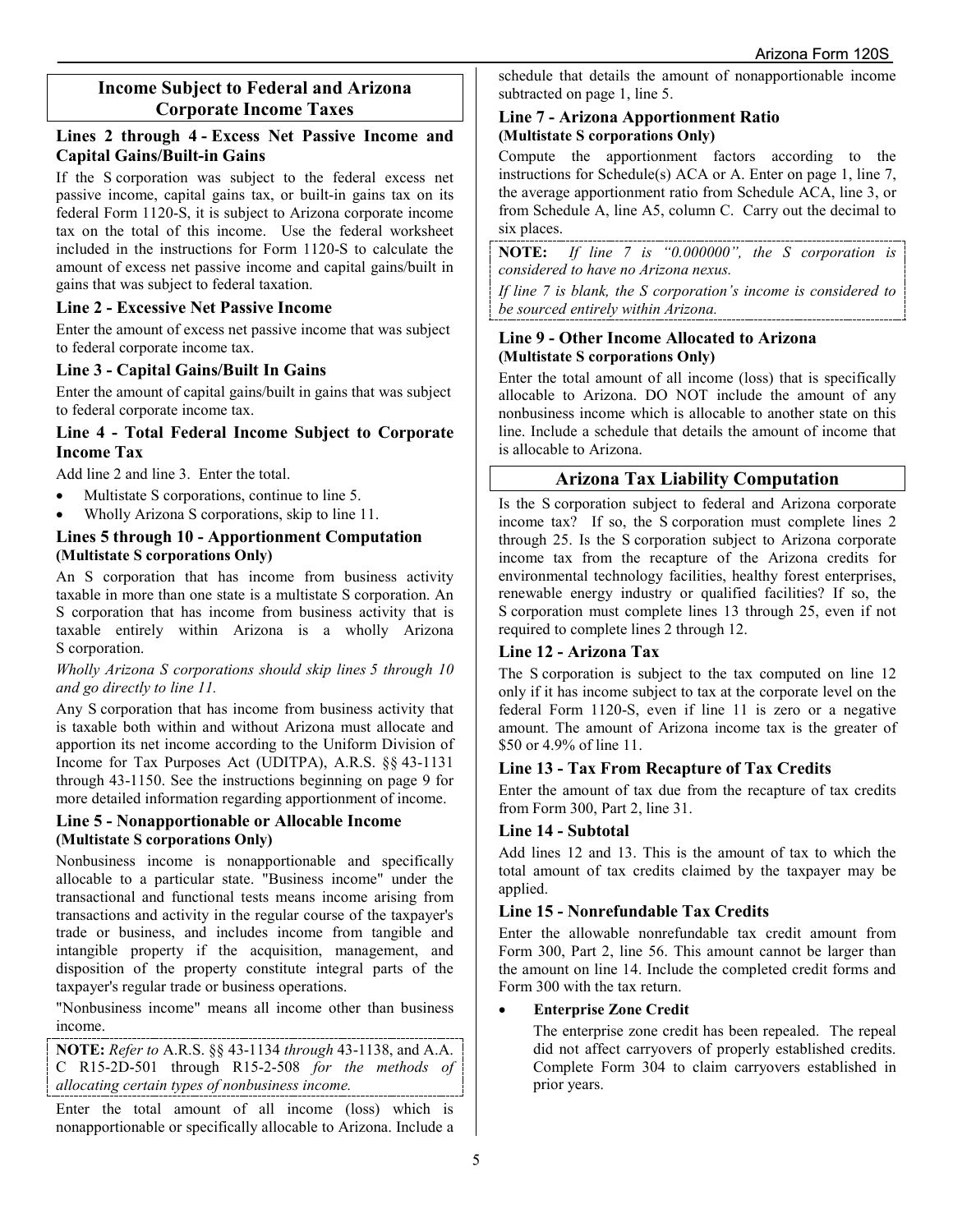# **Income Subject to Federal and Arizona Corporate Income Taxes**

## **Lines 2 through 4 - Excess Net Passive Income and Capital Gains/Built-in Gains**

If the S corporation was subject to the federal excess net passive income, capital gains tax, or built-in gains tax on its federal Form 1120-S, it is subject to Arizona corporate income tax on the total of this income. Use the federal worksheet included in the instructions for Form 1120-S to calculate the amount of excess net passive income and capital gains/built in gains that was subject to federal taxation.

## **Line 2 - Excessive Net Passive Income**

Enter the amount of excess net passive income that was subject to federal corporate income tax.

## **Line 3 - Capital Gains/Built In Gains**

Enter the amount of capital gains/built in gains that was subject to federal corporate income tax.

## **Line 4 - Total Federal Income Subject to Corporate Income Tax**

Add line 2 and line 3. Enter the total.

- Multistate S corporations, continue to line 5.
- Wholly Arizona S corporations, skip to line 11.

## **Lines 5 through 10 - Apportionment Computation (Multistate S corporations Only)**

An S corporation that has income from business activity taxable in more than one state is a multistate S corporation. An S corporation that has income from business activity that is taxable entirely within Arizona is a wholly Arizona S corporation.

#### *Wholly Arizona S corporations should skip lines 5 through 10 and go directly to line 11.*

Any S corporation that has income from business activity that is taxable both within and without Arizona must allocate and apportion its net income according to the Uniform Division of Income for Tax Purposes Act (UDITPA), A.R.S. §§ 43-1131 through 43-1150. See the instructions beginning on page 9 for more detailed information regarding apportionment of income.

## **Line 5 - Nonapportionable or Allocable Income (Multistate S corporations Only)**

Nonbusiness income is nonapportionable and specifically allocable to a particular state. "Business income" under the transactional and functional tests means income arising from transactions and activity in the regular course of the taxpayer's trade or business, and includes income from tangible and intangible property if the acquisition, management, and disposition of the property constitute integral parts of the taxpayer's regular trade or business operations.

"Nonbusiness income" means all income other than business income.

**NOTE:** *Refer to* A.R.S. §§ 43-1134 *through* 43-1138, and A.A. C R15-2D-501 through R15-2-508 *for the methods of allocating certain types of nonbusiness income.*

Enter the total amount of all income (loss) which is nonapportionable or specifically allocable to Arizona. Include a schedule that details the amount of nonapportionable income subtracted on page 1, line 5.

## **Line 7 - Arizona Apportionment Ratio (Multistate S corporations Only)**

Compute the apportionment factors according to the instructions for Schedule(s) ACA or A. Enter on page 1, line 7, the average apportionment ratio from Schedule ACA, line 3, or from Schedule A, line A5, column C. Carry out the decimal to six places.

**NOTE:** *If line 7 is "0.000000", the S corporation is considered to have no Arizona nexus.* 

*If line 7 is blank, the S corporation's income is considered to be sourced entirely within Arizona.* 

## **Line 9 - Other Income Allocated to Arizona (Multistate S corporations Only)**

Enter the total amount of all income (loss) that is specifically allocable to Arizona. DO NOT include the amount of any nonbusiness income which is allocable to another state on this line. Include a schedule that details the amount of income that is allocable to Arizona.

# **Arizona Tax Liability Computation**

Is the S corporation subject to federal and Arizona corporate income tax? If so, the S corporation must complete lines 2 through 25. Is the S corporation subject to Arizona corporate income tax from the recapture of the Arizona credits for environmental technology facilities, healthy forest enterprises, renewable energy industry or qualified facilities? If so, the S corporation must complete lines 13 through 25, even if not required to complete lines 2 through 12.

## **Line 12 - Arizona Tax**

The S corporation is subject to the tax computed on line 12 only if it has income subject to tax at the corporate level on the federal Form 1120-S, even if line 11 is zero or a negative amount. The amount of Arizona income tax is the greater of \$50 or 4.9% of line 11.

## **Line 13 - Tax From Recapture of Tax Credits**

Enter the amount of tax due from the recapture of tax credits from Form 300, Part 2, line 31.

#### **Line 14 - Subtotal**

Add lines 12 and 13. This is the amount of tax to which the total amount of tax credits claimed by the taxpayer may be applied.

## **Line 15 - Nonrefundable Tax Credits**

Enter the allowable nonrefundable tax credit amount from Form 300, Part 2, line 56. This amount cannot be larger than the amount on line 14. Include the completed credit forms and Form 300 with the tax return.

#### • **Enterprise Zone Credit**

The enterprise zone credit has been repealed. The repeal did not affect carryovers of properly established credits. Complete Form 304 to claim carryovers established in prior years.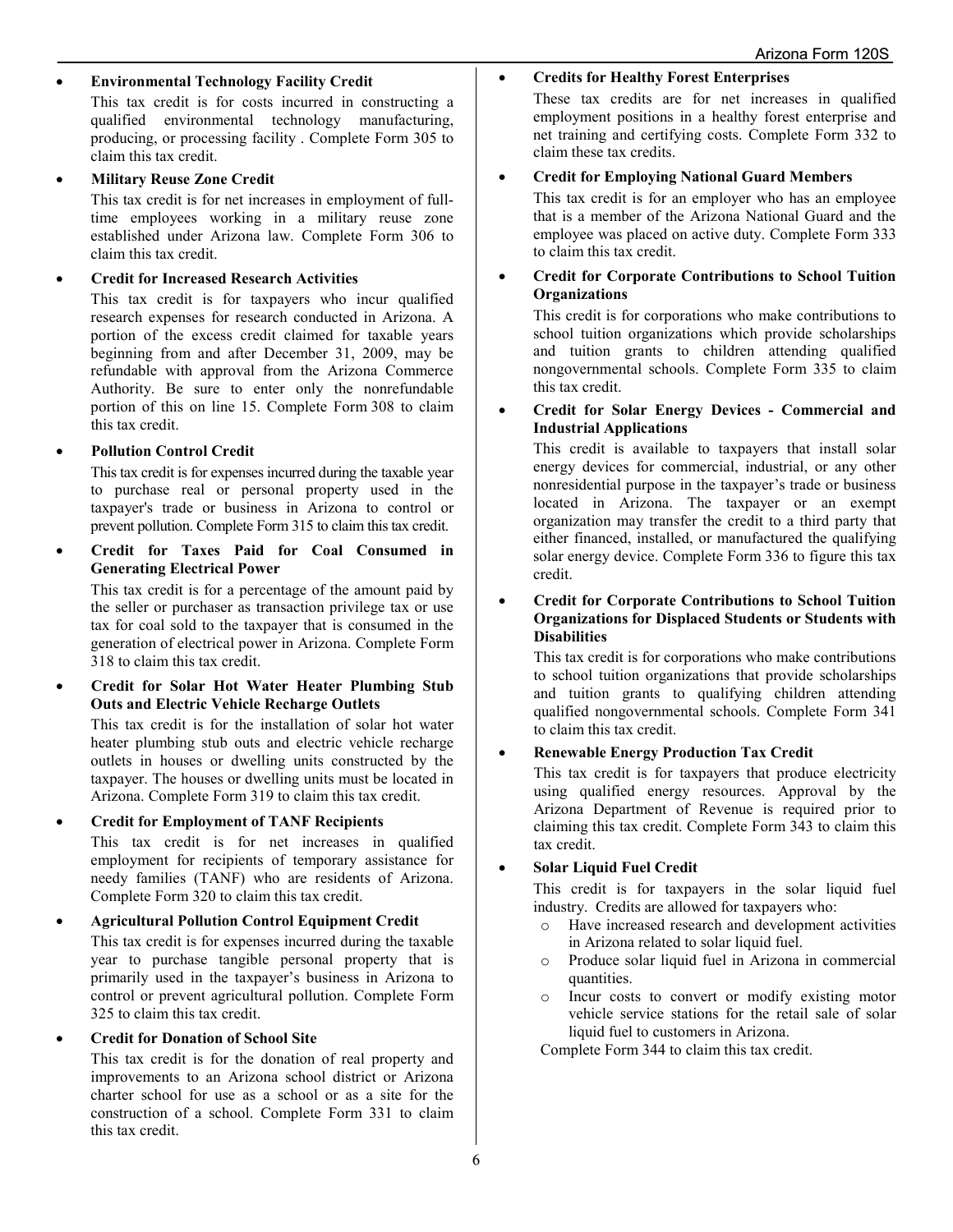#### • **Environmental Technology Facility Credit**

This tax credit is for costs incurred in constructing a qualified environmental technology manufacturing, producing, or processing facility . Complete Form 305 to claim this tax credit.

#### • **Military Reuse Zone Credit**

This tax credit is for net increases in employment of fulltime employees working in a military reuse zone established under Arizona law. Complete Form 306 to claim this tax credit.

#### • **Credit for Increased Research Activities**

This tax credit is for taxpayers who incur qualified research expenses for research conducted in Arizona. A portion of the excess credit claimed for taxable years beginning from and after December 31, 2009, may be refundable with approval from the Arizona Commerce Authority. Be sure to enter only the nonrefundable portion of this on line 15. Complete Form 308 to claim this tax credit.

#### • **Pollution Control Credit**

This tax credit is for expenses incurred during the taxable year to purchase real or personal property used in the taxpayer's trade or business in Arizona to control or prevent pollution. Complete Form 315 to claim this tax credit.

• **Credit for Taxes Paid for Coal Consumed in Generating Electrical Power**

This tax credit is for a percentage of the amount paid by the seller or purchaser as transaction privilege tax or use tax for coal sold to the taxpayer that is consumed in the generation of electrical power in Arizona. Complete Form 318 to claim this tax credit.

• **Credit for Solar Hot Water Heater Plumbing Stub Outs and Electric Vehicle Recharge Outlets**

This tax credit is for the installation of solar hot water heater plumbing stub outs and electric vehicle recharge outlets in houses or dwelling units constructed by the taxpayer. The houses or dwelling units must be located in Arizona. Complete Form 319 to claim this tax credit.

#### • **Credit for Employment of TANF Recipients**

This tax credit is for net increases in qualified employment for recipients of temporary assistance for needy families (TANF) who are residents of Arizona. Complete Form 320 to claim this tax credit.

# • **Agricultural Pollution Control Equipment Credit**

This tax credit is for expenses incurred during the taxable year to purchase tangible personal property that is primarily used in the taxpayer's business in Arizona to control or prevent agricultural pollution. Complete Form 325 to claim this tax credit.

#### • **Credit for Donation of School Site**

This tax credit is for the donation of real property and improvements to an Arizona school district or Arizona charter school for use as a school or as a site for the construction of a school. Complete Form 331 to claim this tax credit.

#### • **Credits for Healthy Forest Enterprises**

These tax credits are for net increases in qualified employment positions in a healthy forest enterprise and net training and certifying costs. Complete Form 332 to claim these tax credits.

#### • **Credit for Employing National Guard Members**

This tax credit is for an employer who has an employee that is a member of the Arizona National Guard and the employee was placed on active duty. Complete Form 333 to claim this tax credit.

#### • **Credit for Corporate Contributions to School Tuition Organizations**

This credit is for corporations who make contributions to school tuition organizations which provide scholarships and tuition grants to children attending qualified nongovernmental schools. Complete Form 335 to claim this tax credit.

#### • **Credit for Solar Energy Devices - Commercial and Industrial Applications**

This credit is available to taxpayers that install solar energy devices for commercial, industrial, or any other nonresidential purpose in the taxpayer's trade or business located in Arizona. The taxpayer or an exempt organization may transfer the credit to a third party that either financed, installed, or manufactured the qualifying solar energy device. Complete Form 336 to figure this tax credit.

#### • **Credit for Corporate Contributions to School Tuition Organizations for Displaced Students or Students with Disabilities**

This tax credit is for corporations who make contributions to school tuition organizations that provide scholarships and tuition grants to qualifying children attending qualified nongovernmental schools. Complete Form 341 to claim this tax credit.

#### • **Renewable Energy Production Tax Credit**

This tax credit is for taxpayers that produce electricity using qualified energy resources. Approval by the Arizona Department of Revenue is required prior to claiming this tax credit. Complete Form 343 to claim this tax credit.

#### • **Solar Liquid Fuel Credit**

This credit is for taxpayers in the solar liquid fuel industry. Credits are allowed for taxpayers who:

- o Have increased research and development activities in Arizona related to solar liquid fuel.
- o Produce solar liquid fuel in Arizona in commercial quantities.
- o Incur costs to convert or modify existing motor vehicle service stations for the retail sale of solar liquid fuel to customers in Arizona.

Complete Form 344 to claim this tax credit.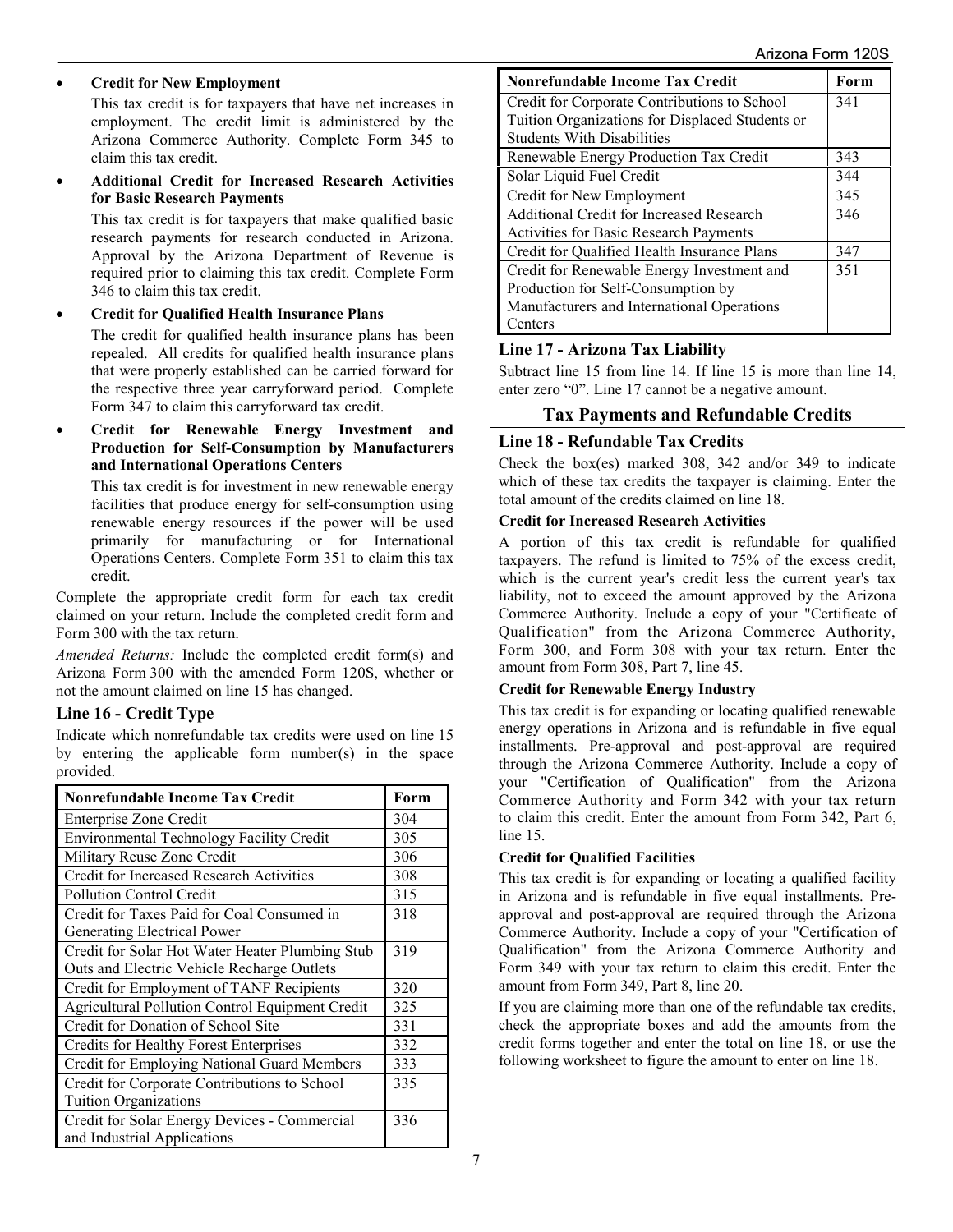#### • **Credit for New Employment**

This tax credit is for taxpayers that have net increases in employment. The credit limit is administered by the Arizona Commerce Authority. Complete Form 345 to claim this tax credit.

• **Additional Credit for Increased Research Activities for Basic Research Payments** 

This tax credit is for taxpayers that make qualified basic research payments for research conducted in Arizona. Approval by the Arizona Department of Revenue is required prior to claiming this tax credit. Complete Form 346 to claim this tax credit.

#### • **Credit for Qualified Health Insurance Plans**

The credit for qualified health insurance plans has been repealed. All credits for qualified health insurance plans that were properly established can be carried forward for the respective three year carryforward period. Complete Form 347 to claim this carryforward tax credit.

• **Credit for Renewable Energy Investment and Production for Self-Consumption by Manufacturers and International Operations Centers**

This tax credit is for investment in new renewable energy facilities that produce energy for self-consumption using renewable energy resources if the power will be used primarily for manufacturing or for International Operations Centers. Complete Form 351 to claim this tax credit.

Complete the appropriate credit form for each tax credit claimed on your return. Include the completed credit form and Form 300 with the tax return.

*Amended Returns:* Include the completed credit form(s) and Arizona Form 300 with the amended Form 120S, whether or not the amount claimed on line 15 has changed.

#### **Line 16 - Credit Type**

Indicate which nonrefundable tax credits were used on line 15 by entering the applicable form number(s) in the space provided.

| <b>Nonrefundable Income Tax Credit</b>                                      | Form |
|-----------------------------------------------------------------------------|------|
| Enterprise Zone Credit                                                      | 304  |
| <b>Environmental Technology Facility Credit</b>                             | 305  |
| Military Reuse Zone Credit                                                  | 306  |
| Credit for Increased Research Activities                                    | 308  |
| <b>Pollution Control Credit</b>                                             | 315  |
| Credit for Taxes Paid for Coal Consumed in                                  | 318  |
| Generating Electrical Power                                                 |      |
| Credit for Solar Hot Water Heater Plumbing Stub                             | 319  |
| Outs and Electric Vehicle Recharge Outlets                                  |      |
| Credit for Employment of TANF Recipients                                    | 320  |
| Agricultural Pollution Control Equipment Credit                             | 325  |
| Credit for Donation of School Site                                          | 331  |
| Credits for Healthy Forest Enterprises                                      | 332  |
| Credit for Employing National Guard Members                                 | 333  |
| Credit for Corporate Contributions to School                                | 335  |
| <b>Tuition Organizations</b>                                                |      |
| Credit for Solar Energy Devices - Commercial<br>and Industrial Applications | 336  |

| <b>Nonrefundable Income Tax Credit</b>          | Form |
|-------------------------------------------------|------|
| Credit for Corporate Contributions to School    | 341  |
| Tuition Organizations for Displaced Students or |      |
| <b>Students With Disabilities</b>               |      |
| Renewable Energy Production Tax Credit          | 343  |
| Solar Liquid Fuel Credit                        | 344  |
| Credit for New Employment                       | 345  |
| Additional Credit for Increased Research        | 346  |
| <b>Activities for Basic Research Payments</b>   |      |
| Credit for Qualified Health Insurance Plans     | 347  |
| Credit for Renewable Energy Investment and      | 351  |
| Production for Self-Consumption by              |      |
| Manufacturers and International Operations      |      |
| Centers                                         |      |

## **Line 17 - Arizona Tax Liability**

Subtract line 15 from line 14. If line 15 is more than line 14, enter zero "0". Line 17 cannot be a negative amount.

# **Tax Payments and Refundable Credits**

## **Line 18 - Refundable Tax Credits**

Check the box(es) marked 308, 342 and/or 349 to indicate which of these tax credits the taxpayer is claiming. Enter the total amount of the credits claimed on line 18.

#### **Credit for Increased Research Activities**

A portion of this tax credit is refundable for qualified taxpayers. The refund is limited to 75% of the excess credit, which is the current year's credit less the current year's tax liability, not to exceed the amount approved by the Arizona Commerce Authority. Include a copy of your "Certificate of Qualification" from the Arizona Commerce Authority, Form 300, and Form 308 with your tax return. Enter the amount from Form 308, Part 7, line 45.

#### **Credit for Renewable Energy Industry**

This tax credit is for expanding or locating qualified renewable energy operations in Arizona and is refundable in five equal installments. Pre-approval and post-approval are required through the Arizona Commerce Authority. Include a copy of your "Certification of Qualification" from the Arizona Commerce Authority and Form 342 with your tax return to claim this credit. Enter the amount from Form 342, Part 6, line 15.

#### **Credit for Qualified Facilities**

This tax credit is for expanding or locating a qualified facility in Arizona and is refundable in five equal installments. Preapproval and post-approval are required through the Arizona Commerce Authority. Include a copy of your "Certification of Qualification" from the Arizona Commerce Authority and Form 349 with your tax return to claim this credit. Enter the amount from Form 349, Part 8, line 20.

If you are claiming more than one of the refundable tax credits, check the appropriate boxes and add the amounts from the credit forms together and enter the total on line 18, or use the following worksheet to figure the amount to enter on line 18.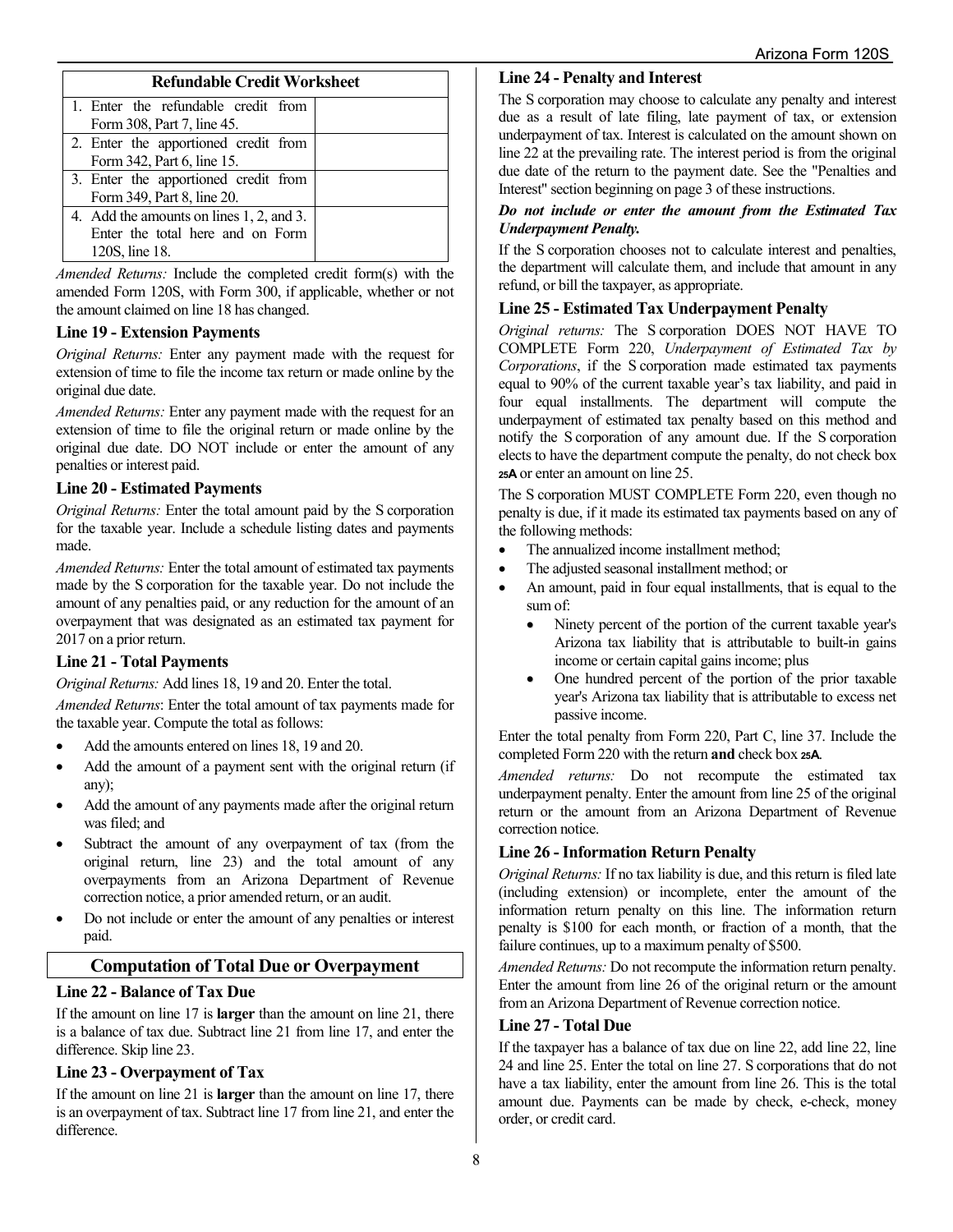| <b>Refundable Credit Worksheet</b>                                                             |  |  |  |  |
|------------------------------------------------------------------------------------------------|--|--|--|--|
| 1. Enter the refundable credit from<br>Form 308, Part 7, line 45.                              |  |  |  |  |
| 2. Enter the apportioned credit from<br>Form 342, Part 6, line 15.                             |  |  |  |  |
| 3. Enter the apportioned credit from<br>Form 349, Part 8, line 20.                             |  |  |  |  |
| 4. Add the amounts on lines 1, 2, and 3.<br>Enter the total here and on Form<br>120S, line 18. |  |  |  |  |

*Amended Returns:* Include the completed credit form(s) with the amended Form 120S, with Form 300, if applicable, whether or not the amount claimed on line 18 has changed.

## **Line 19 - Extension Payments**

*Original Returns:* Enter any payment made with the request for extension of time to file the income tax return or made online by the original due date.

*Amended Returns:* Enter any payment made with the request for an extension of time to file the original return or made online by the original due date. DO NOT include or enter the amount of any penalties or interest paid.

## **Line 20 - Estimated Payments**

*Original Returns:* Enter the total amount paid by the S corporation for the taxable year. Include a schedule listing dates and payments made.

*Amended Returns:* Enter the total amount of estimated tax payments made by the S corporation for the taxable year. Do not include the amount of any penalties paid, or any reduction for the amount of an overpayment that was designated as an estimated tax payment for 2017 on a prior return.

## **Line 21 - Total Payments**

*Original Returns:* Add lines 18, 19 and 20. Enter the total.

*Amended Returns*: Enter the total amount of tax payments made for the taxable year. Compute the total as follows:

- Add the amounts entered on lines 18, 19 and 20.
- Add the amount of a payment sent with the original return (if any);
- Add the amount of any payments made after the original return was filed; and
- Subtract the amount of any overpayment of tax (from the original return, line 23) and the total amount of any overpayments from an Arizona Department of Revenue correction notice, a prior amended return, or an audit.
- Do not include or enter the amount of any penalties or interest paid.

## **Computation of Total Due or Overpayment**

## **Line 22 - Balance of Tax Due**

If the amount on line 17 is **larger** than the amount on line 21, there is a balance of tax due. Subtract line 21 from line 17, and enter the difference. Skip line 23.

## **Line 23 - Overpayment of Tax**

If the amount on line 21 is **larger** than the amount on line 17, there is an overpayment of tax. Subtract line 17 from line 21, and enter the difference.

## **Line 24 - Penalty and Interest**

The S corporation may choose to calculate any penalty and interest due as a result of late filing, late payment of tax, or extension underpayment of tax. Interest is calculated on the amount shown on line 22 at the prevailing rate. The interest period is from the original due date of the return to the payment date. See the "Penalties and Interest" section beginning on page 3 of these instructions.

#### *Do not include or enter the amount from the Estimated Tax Underpayment Penalty.*

If the S corporation chooses not to calculate interest and penalties, the department will calculate them, and include that amount in any refund, or bill the taxpayer, as appropriate.

## **Line 25 - Estimated Tax Underpayment Penalty**

*Original returns:* The S corporation DOES NOT HAVE TO COMPLETE Form 220, *Underpayment of Estimated Tax by Corporations*, if the S corporation made estimated tax payments equal to 90% of the current taxable year's tax liability, and paid in four equal installments. The department will compute the underpayment of estimated tax penalty based on this method and notify the S corporation of any amount due. If the S corporation elects to have the department compute the penalty, do not check box **25A** or enter an amount on line 25.

The S corporation MUST COMPLETE Form 220, even though no penalty is due, if it made its estimated tax payments based on any of the following methods:

- The annualized income installment method;
- The adjusted seasonal installment method; or
- An amount, paid in four equal installments, that is equal to the sum of:
	- Ninety percent of the portion of the current taxable year's Arizona tax liability that is attributable to built-in gains income or certain capital gains income; plus
	- One hundred percent of the portion of the prior taxable year's Arizona tax liability that is attributable to excess net passive income.

Enter the total penalty from Form 220, Part C, line 37. Include the completed Form 220 with the return **and** check box **25A**.

*Amended returns:* Do not recompute the estimated tax underpayment penalty. Enter the amount from line 25 of the original return or the amount from an Arizona Department of Revenue correction notice.

## **Line 26 -Information Return Penalty**

*Original Returns:* If no tax liability is due, and this return is filed late (including extension) or incomplete, enter the amount of the information return penalty on this line. The information return penalty is \$100 for each month, or fraction of a month, that the failure continues, up to a maximum penalty of \$500.

*Amended Returns:* Do not recompute the information return penalty. Enter the amount from line 26 of the original return or the amount from an Arizona Department of Revenue correction notice.

#### **Line 27 - Total Due**

If the taxpayer has a balance of tax due on line 22, add line 22, line 24 and line 25. Enter the total on line 27. S corporations that do not have a tax liability, enter the amount from line 26. This is the total amount due. Payments can be made by check, e-check, money order, or credit card.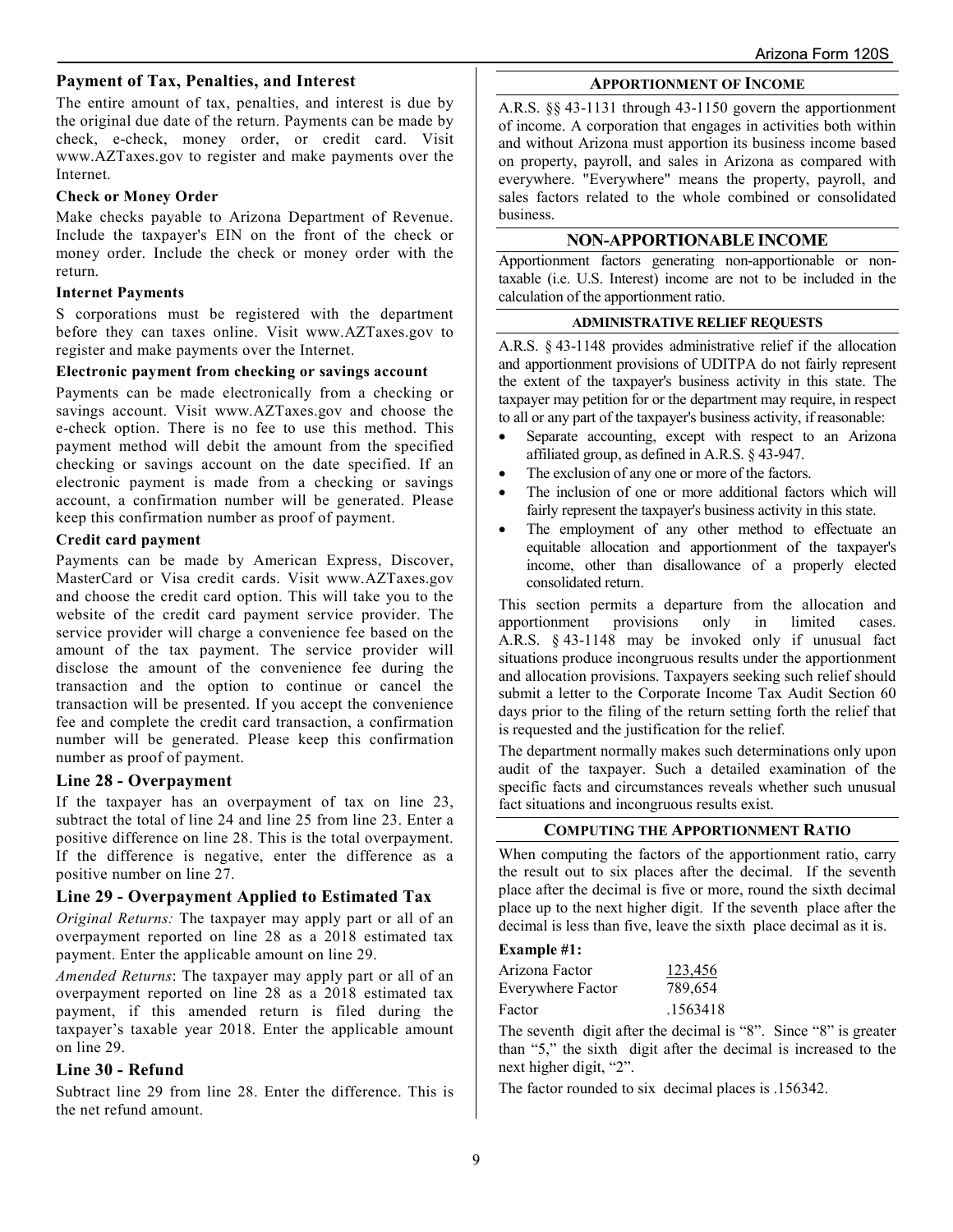## **Payment of Tax, Penalties, and Interest**

The entire amount of tax, penalties, and interest is due by the original due date of the return. Payments can be made by check, e-check, money order, or credit card. Visit www.AZTaxes.gov to register and make payments over the Internet.

#### **Check or Money Order**

Make checks payable to Arizona Department of Revenue. Include the taxpayer's EIN on the front of the check or money order. Include the check or money order with the return.

#### **Internet Payments**

S corporations must be registered with the department before they can taxes online. Visit www.AZTaxes.gov to register and make payments over the Internet.

#### **Electronic payment from checking or savings account**

Payments can be made electronically from a checking or savings account. Visit www.AZTaxes.gov and choose the e-check option. There is no fee to use this method. This payment method will debit the amount from the specified checking or savings account on the date specified. If an electronic payment is made from a checking or savings account, a confirmation number will be generated. Please keep this confirmation number as proof of payment.

#### **Credit card payment**

Payments can be made by American Express, Discover, MasterCard or Visa credit cards. Visit www.AZTaxes.gov and choose the credit card option. This will take you to the website of the credit card payment service provider. The service provider will charge a convenience fee based on the amount of the tax payment. The service provider will disclose the amount of the convenience fee during the transaction and the option to continue or cancel the transaction will be presented. If you accept the convenience fee and complete the credit card transaction, a confirmation number will be generated. Please keep this confirmation number as proof of payment.

#### **Line 28 - Overpayment**

If the taxpayer has an overpayment of tax on line 23, subtract the total of line 24 and line 25 from line 23. Enter a positive difference on line 28. This is the total overpayment. If the difference is negative, enter the difference as a positive number on line 27.

#### **Line 29 - Overpayment Applied to Estimated Tax**

*Original Returns:* The taxpayer may apply part or all of an overpayment reported on line 28 as a 2018 estimated tax payment. Enter the applicable amount on line 29.

*Amended Returns*: The taxpayer may apply part or all of an overpayment reported on line 28 as a 2018 estimated tax payment, if this amended return is filed during the taxpayer's taxable year 2018. Enter the applicable amount on line 29.

#### **Line 30 - Refund**

Subtract line 29 from line 28. Enter the difference. This is the net refund amount.

#### **APPORTIONMENT OF INCOME**

A.R.S. §§ 43-1131 through 43-1150 govern the apportionment of income. A corporation that engages in activities both within and without Arizona must apportion its business income based on property, payroll, and sales in Arizona as compared with everywhere. "Everywhere" means the property, payroll, and sales factors related to the whole combined or consolidated business.

## **NON-APPORTIONABLE INCOME**

Apportionment factors generating non-apportionable or nontaxable (i.e. U.S. Interest) income are not to be included in the calculation of the apportionment ratio.

#### **ADMINISTRATIVE RELIEF REQUESTS**

A.R.S. § 43-1148 provides administrative relief if the allocation and apportionment provisions of UDITPA do not fairly represent the extent of the taxpayer's business activity in this state. The taxpayer may petition for or the department may require, in respect to all or any part of the taxpayer's business activity, if reasonable:

- Separate accounting, except with respect to an Arizona affiliated group, as defined in A.R.S. § 43-947.
- The exclusion of any one or more of the factors.
- The inclusion of one or more additional factors which will fairly represent the taxpayer's business activity in this state.
- The employment of any other method to effectuate an equitable allocation and apportionment of the taxpayer's income, other than disallowance of a properly elected consolidated return.

This section permits a departure from the allocation and apportionment provisions only in limited cases. A.R.S. § 43-1148 may be invoked only if unusual fact situations produce incongruous results under the apportionment and allocation provisions. Taxpayers seeking such relief should submit a letter to the Corporate Income Tax Audit Section 60 days prior to the filing of the return setting forth the relief that is requested and the justification for the relief.

The department normally makes such determinations only upon audit of the taxpayer. Such a detailed examination of the specific facts and circumstances reveals whether such unusual fact situations and incongruous results exist.

#### **COMPUTING THE APPORTIONMENT RATIO**

When computing the factors of the apportionment ratio, carry the result out to six places after the decimal. If the seventh place after the decimal is five or more, round the sixth decimal place up to the next higher digit. If the seventh place after the decimal is less than five, leave the sixth place decimal as it is.

# **Example #1:**

| Arizona Factor    | 123,456  |
|-------------------|----------|
| Everywhere Factor | 789,654  |
| Factor            | .1563418 |

The seventh digit after the decimal is "8". Since "8" is greater than "5," the sixth digit after the decimal is increased to the next higher digit, "2".

The factor rounded to six decimal places is .156342.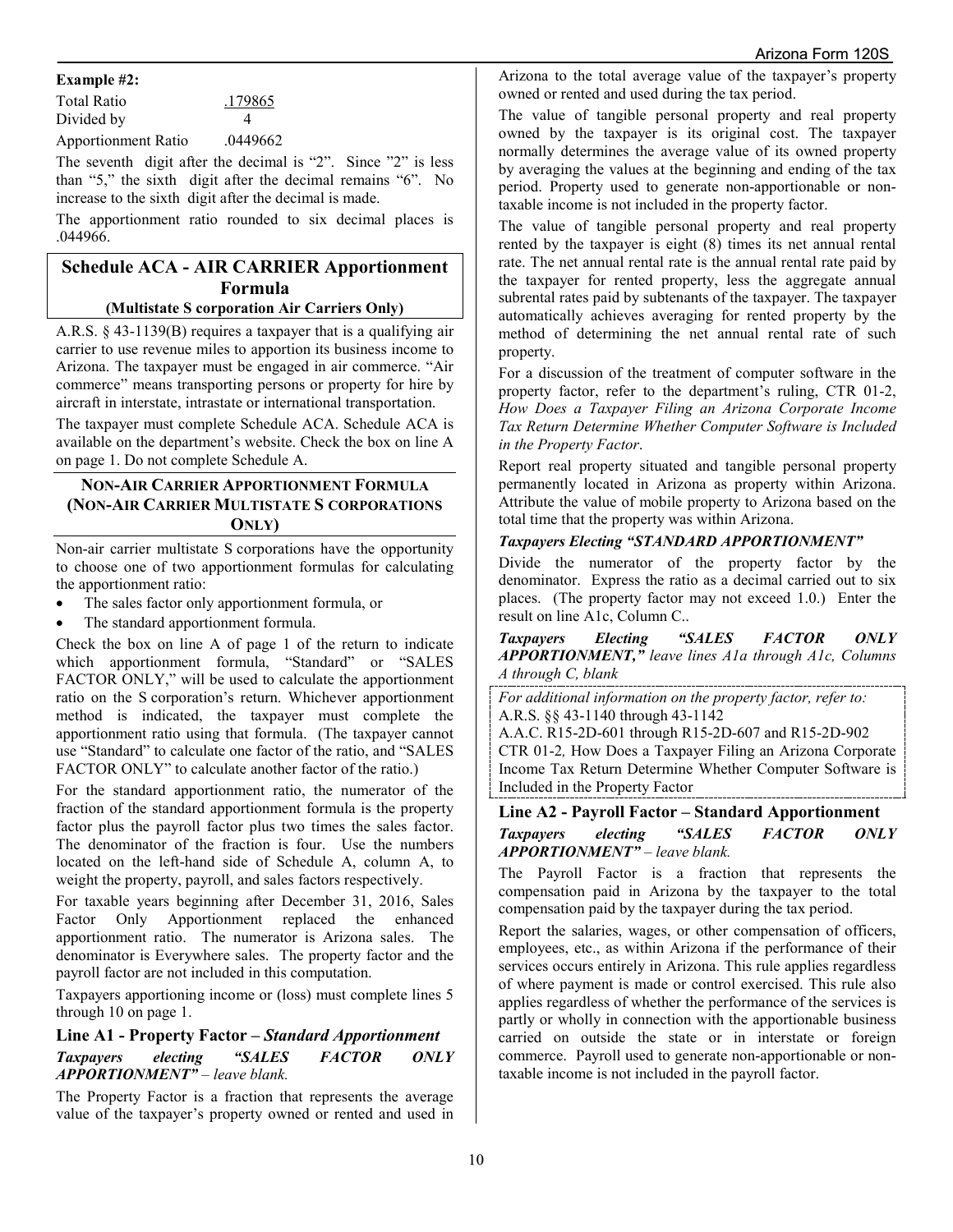#### **Example #2:**

| <b>Total Ratio</b> | .179865 |
|--------------------|---------|
| Divided by         |         |

Apportionment Ratio .0449662

The seventh digit after the decimal is "2". Since "2" is less than "5," the sixth digit after the decimal remains "6". No increase to the sixth digit after the decimal is made.

The apportionment ratio rounded to six decimal places is .044966.

# **Schedule ACA - AIR CARRIER Apportionment Formula**

## **(Multistate S corporation Air Carriers Only)**

A.R.S. § 43-1139(B) requires a taxpayer that is a qualifying air carrier to use revenue miles to apportion its business income to Arizona. The taxpayer must be engaged in air commerce. "Air commerce" means transporting persons or property for hire by aircraft in interstate, intrastate or international transportation.

The taxpayer must complete Schedule ACA. Schedule ACA is available on [the](file://phxfile01/universal/Forms%20Committee/Corporate/2015/05.12.15/Instructions/the) department's website. Check the box on line A on page 1. Do not complete Schedule A.

## **NON-AIR CARRIER APPORTIONMENT FORMULA (NON-AIR CARRIER MULTISTATE S CORPORATIONS ONLY)**

Non-air carrier multistate S corporations have the opportunity to choose one of two apportionment formulas for calculating the apportionment ratio:

- The sales factor only apportionment formula, or
- The standard apportionment formula.

Check the box on line A of page 1 of the return to indicate which apportionment formula, "Standard" or "SALES FACTOR ONLY," will be used to calculate the apportionment ratio on the S corporation's return. Whichever apportionment method is indicated, the taxpayer must complete the apportionment ratio using that formula. (The taxpayer cannot use "Standard" to calculate one factor of the ratio, and "SALES FACTOR ONLY" to calculate another factor of the ratio.)

For the standard apportionment ratio, the numerator of the fraction of the standard apportionment formula is the property factor plus the payroll factor plus two times the sales factor. The denominator of the fraction is four. Use the numbers located on the left-hand side of Schedule A, column A, to weight the property, payroll, and sales factors respectively.

For taxable years beginning after December 31, 2016, Sales Factor Only Apportionment replaced the enhanced apportionment ratio. The numerator is Arizona sales. The denominator is Everywhere sales. The property factor and the payroll factor are not included in this computation.

Taxpayers apportioning income or (loss) must complete lines 5 through 10 on page 1.

# **Line A1 - Property Factor –** *Standard Apportionment*

## *Taxpayers electing "SALES FACTOR ONLY APPORTIONMENT" – leave blank.*

The Property Factor is a fraction that represents the average value of the taxpayer's property owned or rented and used in Arizona to the total average value of the taxpayer's property owned or rented and used during the tax period.

The value of tangible personal property and real property owned by the taxpayer is its original cost. The taxpayer normally determines the average value of its owned property by averaging the values at the beginning and ending of the tax period. Property used to generate non-apportionable or nontaxable income is not included in the property factor.

The value of tangible personal property and real property rented by the taxpayer is eight (8) times its net annual rental rate. The net annual rental rate is the annual rental rate paid by the taxpayer for rented property, less the aggregate annual subrental rates paid by subtenants of the taxpayer. The taxpayer automatically achieves averaging for rented property by the method of determining the net annual rental rate of such property.

For a discussion of the treatment of computer software in the property factor, refer to the department's ruling, CTR 01-2, *How Does a Taxpayer Filing an Arizona Corporate Income Tax Return Determine Whether Computer Software is Included in the Property Factor*.

Report real property situated and tangible personal property permanently located in Arizona as property within Arizona. Attribute the value of mobile property to Arizona based on the total time that the property was within Arizona.

## *Taxpayers Electing "STANDARD APPORTIONMENT"*

Divide the numerator of the property factor by the denominator. Express the ratio as a decimal carried out to six places. (The property factor may not exceed 1.0.) Enter the result on line A1c, Column C..

*Taxpayers Electing "SALES FACTOR ONLY APPORTIONMENT," leave lines A1a through A1c, Columns A through C, blank*

*For additional information on the property factor, refer to:* A.R.S. §§ 43-1140 through 43-1142

A.A.C. R15-2D-601 through R15-2D-607 and R15-2D-902 CTR 01-2*,* How Does a Taxpayer Filing an Arizona Corporate Income Tax Return Determine Whether Computer Software is Included in the Property Factor

## **Line A2 - Payroll Factor – Standard Apportionment**  *Taxpayers electing "SALES FACTOR ONLY APPORTIONMENT" – leave blank.*

The Payroll Factor is a fraction that represents the compensation paid in Arizona by the taxpayer to the total compensation paid by the taxpayer during the tax period.

Report the salaries, wages, or other compensation of officers, employees, etc., as within Arizona if the performance of their services occurs entirely in Arizona. This rule applies regardless of where payment is made or control exercised. This rule also applies regardless of whether the performance of the services is partly or wholly in connection with the apportionable business carried on outside the state or in interstate or foreign commerce. Payroll used to generate non-apportionable or nontaxable income is not included in the payroll factor.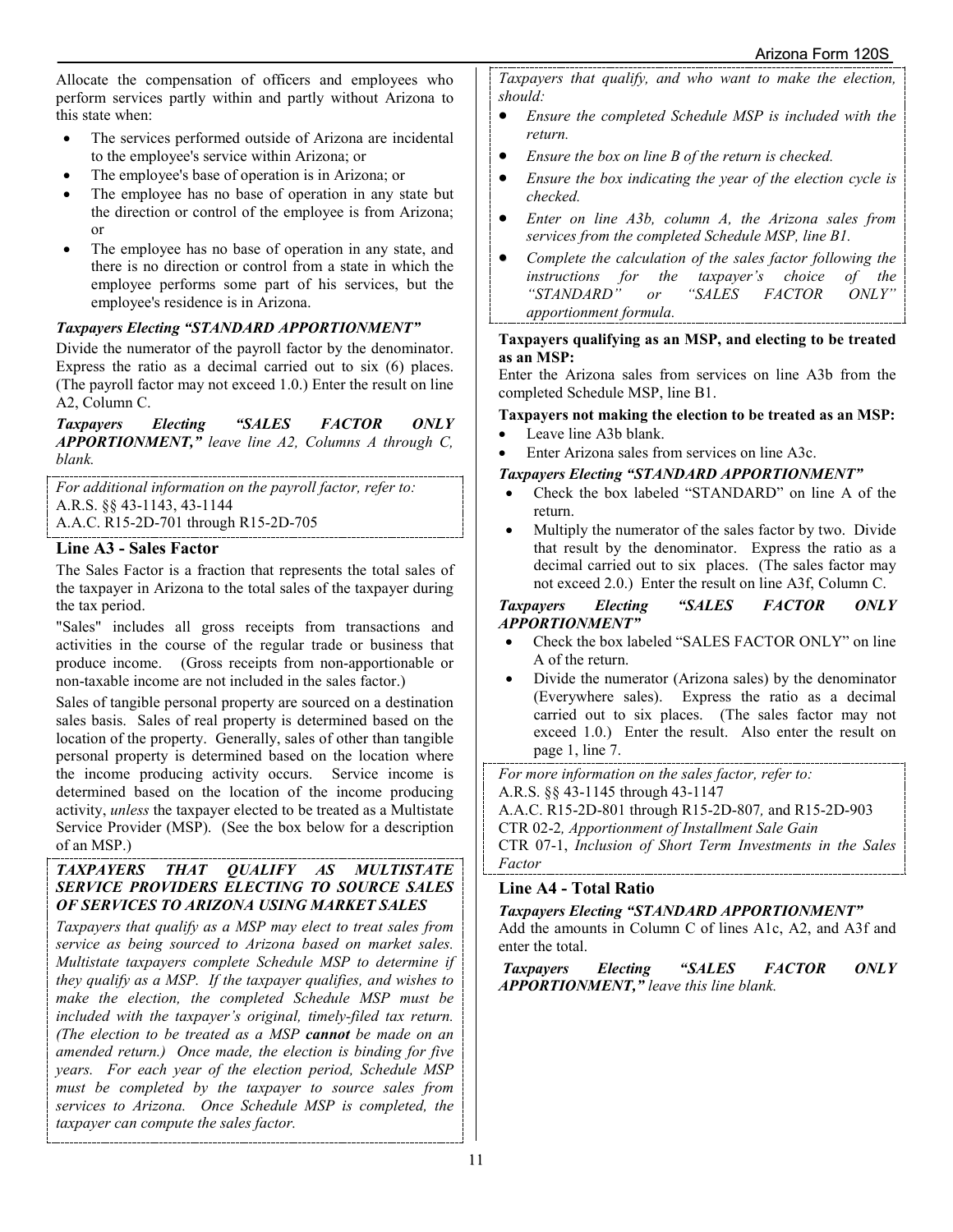Allocate the compensation of officers and employees who perform services partly within and partly without Arizona to this state when:

- The services performed outside of Arizona are incidental to the employee's service within Arizona; or
- The employee's base of operation is in Arizona; or
- The employee has no base of operation in any state but the direction or control of the employee is from Arizona; or
- The employee has no base of operation in any state, and there is no direction or control from a state in which the employee performs some part of his services, but the employee's residence is in Arizona.

## *Taxpayers Electing "STANDARD APPORTIONMENT"*

Divide the numerator of the payroll factor by the denominator. Express the ratio as a decimal carried out to six (6) places. (The payroll factor may not exceed 1.0.) Enter the result on line A2, Column C.

*Taxpayers Electing "SALES FACTOR ONLY APPORTIONMENT," leave line A2, Columns A through C, blank.*

*For additional information on the payroll factor, refer to:* A.R.S. §§ 43-1143, 43-1144 A.A.C. R15-2D-701 through R15-2D-705

## **Line A3 - Sales Factor**

The Sales Factor is a fraction that represents the total sales of the taxpayer in Arizona to the total sales of the taxpayer during the tax period.

"Sales" includes all gross receipts from transactions and activities in the course of the regular trade or business that produce income. (Gross receipts from non-apportionable or non-taxable income are not included in the sales factor.)

Sales of tangible personal property are sourced on a destination sales basis. Sales of real property is determined based on the location of the property. Generally, sales of other than tangible personal property is determined based on the location where the income producing activity occurs. Service income is determined based on the location of the income producing activity, *unless* the taxpayer elected to be treated as a Multistate Service Provider (MSP). (See the box below for a description of an MSP.)

#### *TAXPAYERS THAT QUALIFY AS MULTISTATE SERVICE PROVIDERS ELECTING TO SOURCE SALES OF SERVICES TO ARIZONA USING MARKET SALES*

*Taxpayers that qualify as a MSP may elect to treat sales from service as being sourced to Arizona based on market sales. Multistate taxpayers complete Schedule MSP to determine if they qualify as a MSP. If the taxpayer qualifies, and wishes to make the election, the completed Schedule MSP must be included with the taxpayer's original, timely-filed tax return. (The election to be treated as a MSP cannot be made on an amended return.) Once made, the election is binding for five years. For each year of the election period, Schedule MSP must be completed by the taxpayer to source sales from services to Arizona. Once Schedule MSP is completed, the taxpayer can compute the sales factor.* 

*Taxpayers that qualify, and who want to make the election, should:* 

- *Ensure the completed Schedule MSP is included with the return.*
- *Ensure the box on line B of the return is checked.*
- *Ensure the box indicating the year of the election cycle is checked.*
- *Enter on line A3b, column A, the Arizona sales from services from the completed Schedule MSP, line B1.*
- *Complete the calculation of the sales factor following the instructions for the taxpayer's choice of the*  "*STANDARD*" or *apportionment formula.*

#### **Taxpayers qualifying as an MSP, and electing to be treated as an MSP:**

Enter the Arizona sales from services on line A3b from the completed Schedule MSP, line B1.

## **Taxpayers not making the election to be treated as an MSP:**

- Leave line A3b blank.
- Enter Arizona sales from services on line A3c.

## *Taxpayers Electing "STANDARD APPORTIONMENT"*

- Check the box labeled "STANDARD" on line A of the return.
- Multiply the numerator of the sales factor by two. Divide that result by the denominator. Express the ratio as a decimal carried out to six places. (The sales factor may not exceed 2.0.) Enter the result on line A3f, Column C.

## *Taxpayers Electing "SALES FACTOR ONLY APPORTIONMENT"*

- Check the box labeled "SALES FACTOR ONLY" on line A of the return.
- Divide the numerator (Arizona sales) by the denominator (Everywhere sales). Express the ratio as a decimal carried out to six places. (The sales factor may not exceed 1.0.) Enter the result. Also enter the result on page 1, line 7.

*For more information on the sales factor, refer to:*

A.R.S. §§ 43-1145 through 43-1147

A.A.C. R15-2D-801 through R15-2D-807*,* and R15-2D-903

CTR 02-2*, Apportionment of Installment Sale Gain*

CTR 07-1, *Inclusion of Short Term Investments in the Sales Factor*

# **Line A4 - Total Ratio**

## *Taxpayers Electing "STANDARD APPORTIONMENT"*

Add the amounts in Column C of lines A1c, A2, and A3f and enter the total.

*Taxpayers Electing "SALES FACTOR ONLY APPORTIONMENT," leave this line blank.*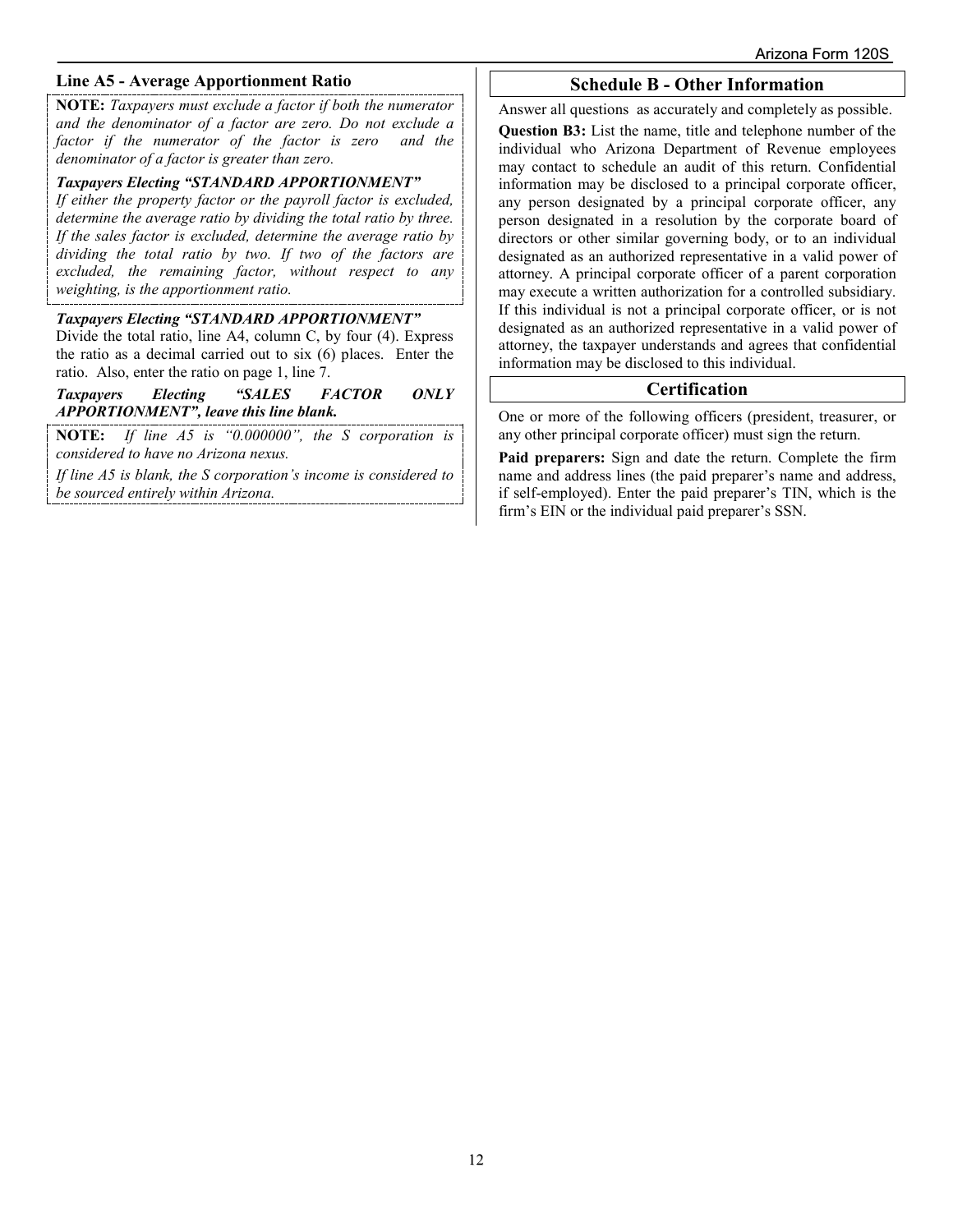## **Line A5 - Average Apportionment Ratio**

**NOTE:** *Taxpayers must exclude a factor if both the numerator and the denominator of a factor are zero. Do not exclude a factor if the numerator of the factor is zero and the denominator of a factor is greater than zero.*

#### *Taxpayers Electing "STANDARD APPORTIONMENT"*

*If either the property factor or the payroll factor is excluded, determine the average ratio by dividing the total ratio by three. If the sales factor is excluded, determine the average ratio by dividing the total ratio by two. If two of the factors are excluded, the remaining factor, without respect to any weighting, is the apportionment ratio.*

# *Taxpayers Electing "STANDARD APPORTIONMENT"*

Divide the total ratio, line A4, column C, by four (4). Express the ratio as a decimal carried out to six (6) places. Enter the ratio. Also, enter the ratio on page 1, line 7.

*Taxpayers Electing "SALES FACTOR ONLY APPORTIONMENT", leave this line blank.*

If line A5 is "0.000000", the S corporation is *considered to have no Arizona nexus.* 

*If line A5 is blank, the S corporation's income is considered to be sourced entirely within Arizona.* 

## **Schedule B - Other Information**

Answer all questions as accurately and completely as possible.

**Question B3:** List the name, title and telephone number of the individual who Arizona Department of Revenue employees may contact to schedule an audit of this return. Confidential information may be disclosed to a principal corporate officer, any person designated by a principal corporate officer, any person designated in a resolution by the corporate board of directors or other similar governing body, or to an individual designated as an authorized representative in a valid power of attorney. A principal corporate officer of a parent corporation may execute a written authorization for a controlled subsidiary. If this individual is not a principal corporate officer, or is not designated as an authorized representative in a valid power of attorney, the taxpayer understands and agrees that confidential information may be disclosed to this individual.

## **Certification**

One or more of the following officers (president, treasurer, or any other principal corporate officer) must sign the return.

**Paid preparers:** Sign and date the return. Complete the firm name and address lines (the paid preparer's name and address, if self-employed). Enter the paid preparer's TIN, which is the firm's EIN or the individual paid preparer's SSN.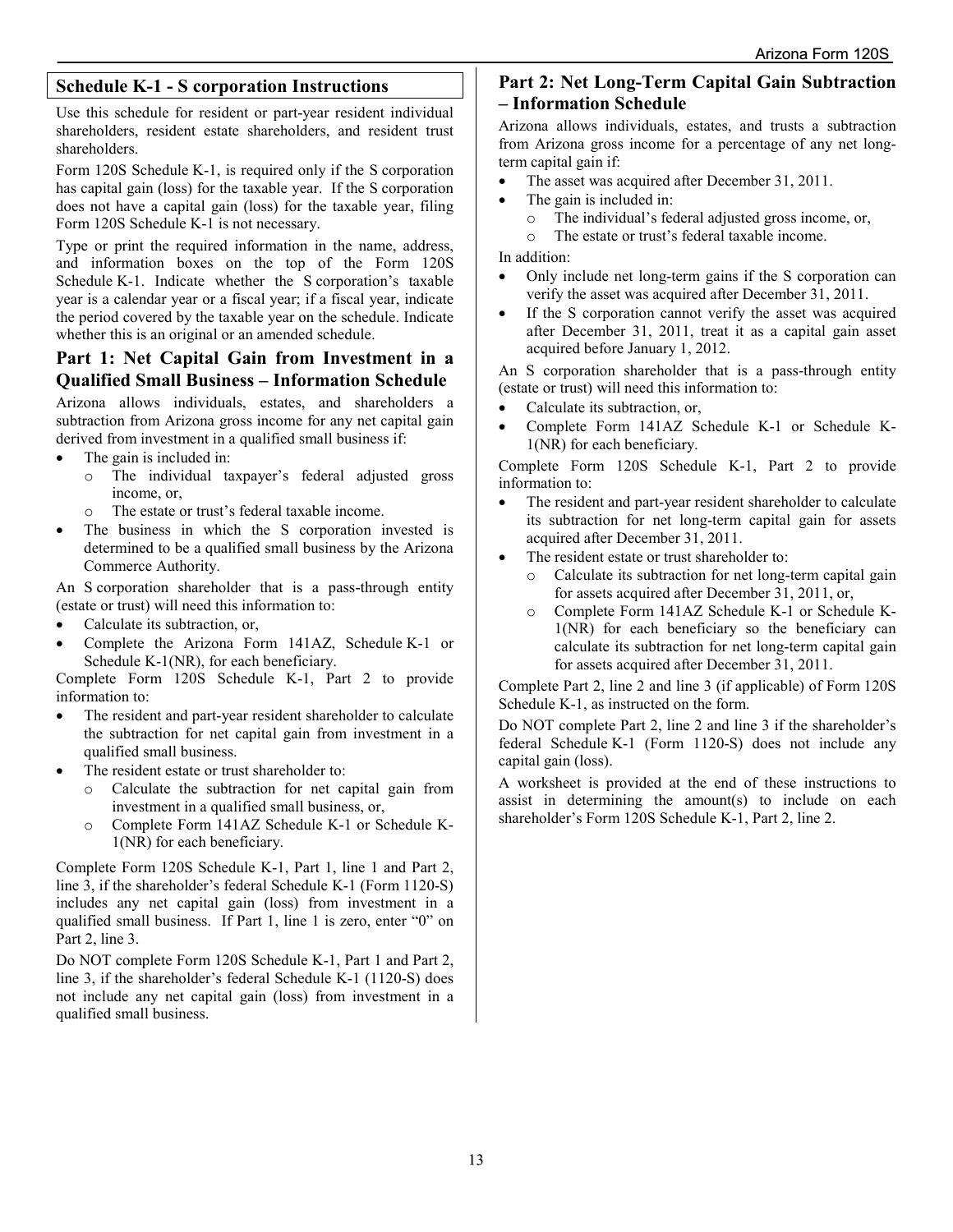# **Schedule K-1 - S corporation Instructions**

Use this schedule for resident or part-year resident individual shareholders, resident estate shareholders, and resident trust shareholders.

Form 120S Schedule K-1, is required only if the S corporation has capital gain (loss) for the taxable year. If the S corporation does not have a capital gain (loss) for the taxable year, filing Form 120S Schedule K-1 is not necessary.

Type or print the required information in the name, address, and information boxes on the top of the Form 120S Schedule K-1. Indicate whether the S corporation's taxable year is a calendar year or a fiscal year; if a fiscal year, indicate the period covered by the taxable year on the schedule. Indicate whether this is an original or an amended schedule.

# **Part 1: Net Capital Gain from Investment in a Qualified Small Business – Information Schedule**

Arizona allows individuals, estates, and shareholders a subtraction from Arizona gross income for any net capital gain derived from investment in a qualified small business if:

- The gain is included in:
	- o The individual taxpayer's federal adjusted gross income, or,
	- o The estate or trust's federal taxable income.
- The business in which the S corporation invested is determined to be a qualified small business by the Arizona Commerce Authority.

An S corporation shareholder that is a pass-through entity (estate or trust) will need this information to:

- Calculate its subtraction, or,
- Complete the Arizona Form 141AZ, Schedule K-1 or Schedule K-1(NR), for each beneficiary.

Complete Form 120S Schedule K-1, Part 2 to provide information to:

- The resident and part-year resident shareholder to calculate the subtraction for net capital gain from investment in a qualified small business.
- The resident estate or trust shareholder to:
	- o Calculate the subtraction for net capital gain from investment in a qualified small business, or,
	- o Complete Form 141AZ Schedule K-1 or Schedule K-1(NR) for each beneficiary.

Complete Form 120S Schedule K-1, Part 1, line 1 and Part 2, line 3, if the shareholder's federal Schedule K-1 (Form 1120-S) includes any net capital gain (loss) from investment in a qualified small business. If Part 1, line 1 is zero, enter "0" on Part 2, line 3.

Do NOT complete Form 120S Schedule K-1, Part 1 and Part 2, line 3, if the shareholder's federal Schedule K-1 (1120-S) does not include any net capital gain (loss) from investment in a qualified small business.

# **Part 2: Net Long-Term Capital Gain Subtraction – Information Schedule**

Arizona allows individuals, estates, and trusts a subtraction from Arizona gross income for a percentage of any net longterm capital gain if:

- The asset was acquired after December 31, 2011.
- The gain is included in:
	- $\circ$  The individual's federal adjusted gross income, or,<br> $\circ$  The estate or trust's federal taxable income
	- The estate or trust's federal taxable income.

In addition:

- Only include net long-term gains if the S corporation can verify the asset was acquired after December 31, 2011.
- If the S corporation cannot verify the asset was acquired after December 31, 2011, treat it as a capital gain asset acquired before January 1, 2012.

An S corporation shareholder that is a pass-through entity (estate or trust) will need this information to:

- Calculate its subtraction, or,
- Complete Form 141AZ Schedule K-1 or Schedule K-1(NR) for each beneficiary.

Complete Form 120S Schedule K-1, Part 2 to provide information to:

- The resident and part-year resident shareholder to calculate its subtraction for net long-term capital gain for assets acquired after December 31, 2011.
- The resident estate or trust shareholder to:
	- o Calculate its subtraction for net long-term capital gain for assets acquired after December 31, 2011, or,
	- o Complete Form 141AZ Schedule K-1 or Schedule K-1(NR) for each beneficiary so the beneficiary can calculate its subtraction for net long-term capital gain for assets acquired after December 31, 2011.

Complete Part 2, line 2 and line 3 (if applicable) of Form 120S Schedule K-1, as instructed on the form.

Do NOT complete Part 2, line 2 and line 3 if the shareholder's federal Schedule K-1 (Form 1120-S) does not include any capital gain (loss).

A worksheet is provided at the end of these instructions to assist in determining the amount(s) to include on each shareholder's Form 120S Schedule K-1, Part 2, line 2.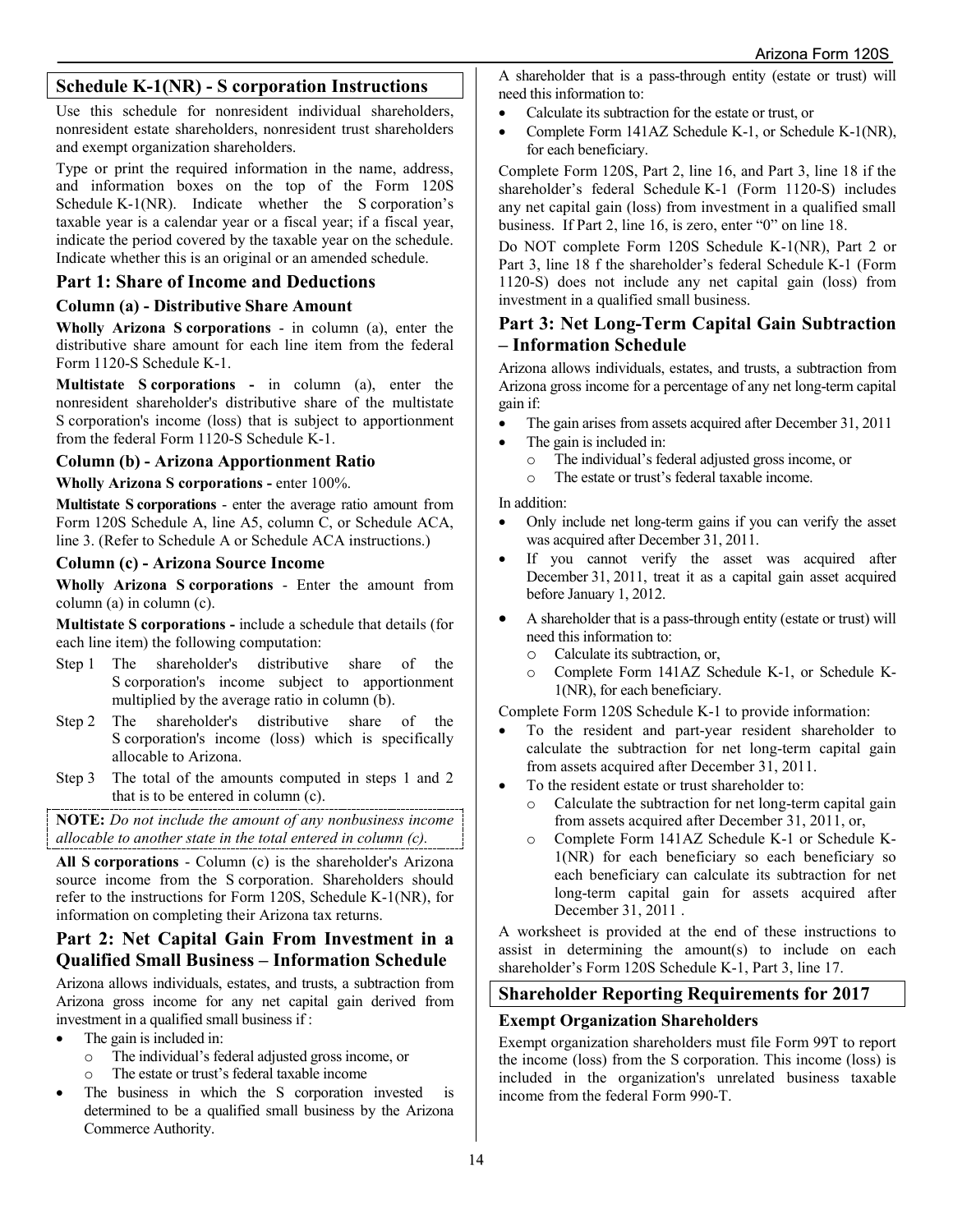# **Schedule K-1(NR) - S corporation Instructions**

Use this schedule for nonresident individual shareholders, nonresident estate shareholders, nonresident trust shareholders and exempt organization shareholders.

Type or print the required information in the name, address, and information boxes on the top of the Form 120S Schedule K-1(NR). Indicate whether the S corporation's taxable year is a calendar year or a fiscal year; if a fiscal year, indicate the period covered by the taxable year on the schedule. Indicate whether this is an original or an amended schedule.

## **Part 1: Share of Income and Deductions**

#### **Column (a) - Distributive Share Amount**

**Wholly Arizona S corporations** - in column (a), enter the distributive share amount for each line item from the federal Form 1120-S Schedule K-1.

**Multistate S corporations -** in column (a), enter the nonresident shareholder's distributive share of the multistate S corporation's income (loss) that is subject to apportionment from the federal Form 1120-S Schedule K-1.

## **Column (b) - Arizona Apportionment Ratio**

**Wholly Arizona S corporations -** enter 100%.

**Multistate S corporations** - enter the average ratio amount from Form 120S Schedule A, line A5, column C, or Schedule ACA, line 3. (Refer to Schedule A or Schedule ACA instructions.)

## **Column (c) - Arizona Source Income**

**Wholly Arizona S corporations** - Enter the amount from column (a) in column (c).

**Multistate S corporations -** include a schedule that details (for each line item) the following computation:

- Step 1 The shareholder's distributive share of the S corporation's income subject to apportionment multiplied by the average ratio in column (b).
- Step 2 The shareholder's distributive share of the S corporation's income (loss) which is specifically allocable to Arizona.
- Step 3 The total of the amounts computed in steps 1 and 2 that is to be entered in column (c).

**NOTE:** *Do not include the amount of any nonbusiness income allocable to another state in the total entered in column (c).*

**All S corporations** - Column (c) is the shareholder's Arizona source income from the S corporation. Shareholders should refer to the instructions for Form 120S, Schedule K-1(NR), for information on completing their Arizona tax returns.

## **Part 2: Net Capital Gain From Investment in a Qualified Small Business – Information Schedule**

Arizona allows individuals, estates, and trusts, a subtraction from Arizona gross income for any net capital gain derived from investment in a qualified small business if :

- The gain is included in:
	- o The individual's federal adjusted gross income, or
	- o The estate or trust's federal taxable income
- The business in which the S corporation invested is determined to be a qualified small business by the Arizona Commerce Authority.

A shareholder that is a pass-through entity (estate or trust) will need this information to:

- Calculate its subtraction for the estate or trust, or
- Complete Form 141AZ Schedule K-1, or Schedule K-1(NR), for each beneficiary.

Complete Form 120S, Part 2, line 16, and Part 3, line 18 if the shareholder's federal Schedule K-1 (Form 1120-S) includes any net capital gain (loss) from investment in a qualified small business. If Part 2, line 16, is zero, enter "0" on line 18.

Do NOT complete Form 120S Schedule K-1(NR), Part 2 or Part 3, line 18 f the shareholder's federal Schedule K-1 (Form 1120-S) does not include any net capital gain (loss) from investment in a qualified small business.

# **Part 3: Net Long-Term Capital Gain Subtraction – Information Schedule**

Arizona allows individuals, estates, and trusts, a subtraction from Arizona gross income for a percentage of any net long-term capital gain if:

- The gain arises from assets acquired after December 31, 2011
- The gain is included in:
	- o The individual's federal adjusted gross income, or
	- The estate or trust's federal taxable income.

In addition:

- Only include net long-term gains if you can verify the asset was acquired after December 31, 2011.
- If you cannot verify the asset was acquired after December 31, 2011, treat it as a capital gain asset acquired before January 1, 2012.
- A shareholder that is a pass-through entity (estate or trust) will need this information to:
	- o Calculate its subtraction, or,
	- Complete Form 141AZ Schedule K-1, or Schedule K-1(NR), for each beneficiary.

Complete Form 120S Schedule K-1 to provide information:

- To the resident and part-year resident shareholder to calculate the subtraction for net long-term capital gain from assets acquired after December 31, 2011.
- To the resident estate or trust shareholder to:
	- o Calculate the subtraction for net long-term capital gain from assets acquired after December 31, 2011, or,
	- o Complete Form 141AZ Schedule K-1 or Schedule K-1(NR) for each beneficiary so each beneficiary so each beneficiary can calculate its subtraction for net long-term capital gain for assets acquired after December 31, 2011 .

A worksheet is provided at the end of these instructions to assist in determining the amount(s) to include on each shareholder's Form 120S Schedule K-1, Part 3, line 17.

# **Shareholder Reporting Requirements for 2017**

## **Exempt Organization Shareholders**

Exempt organization shareholders must file Form 99T to report the income (loss) from the S corporation. This income (loss) is included in the organization's unrelated business taxable income from the federal Form 990-T.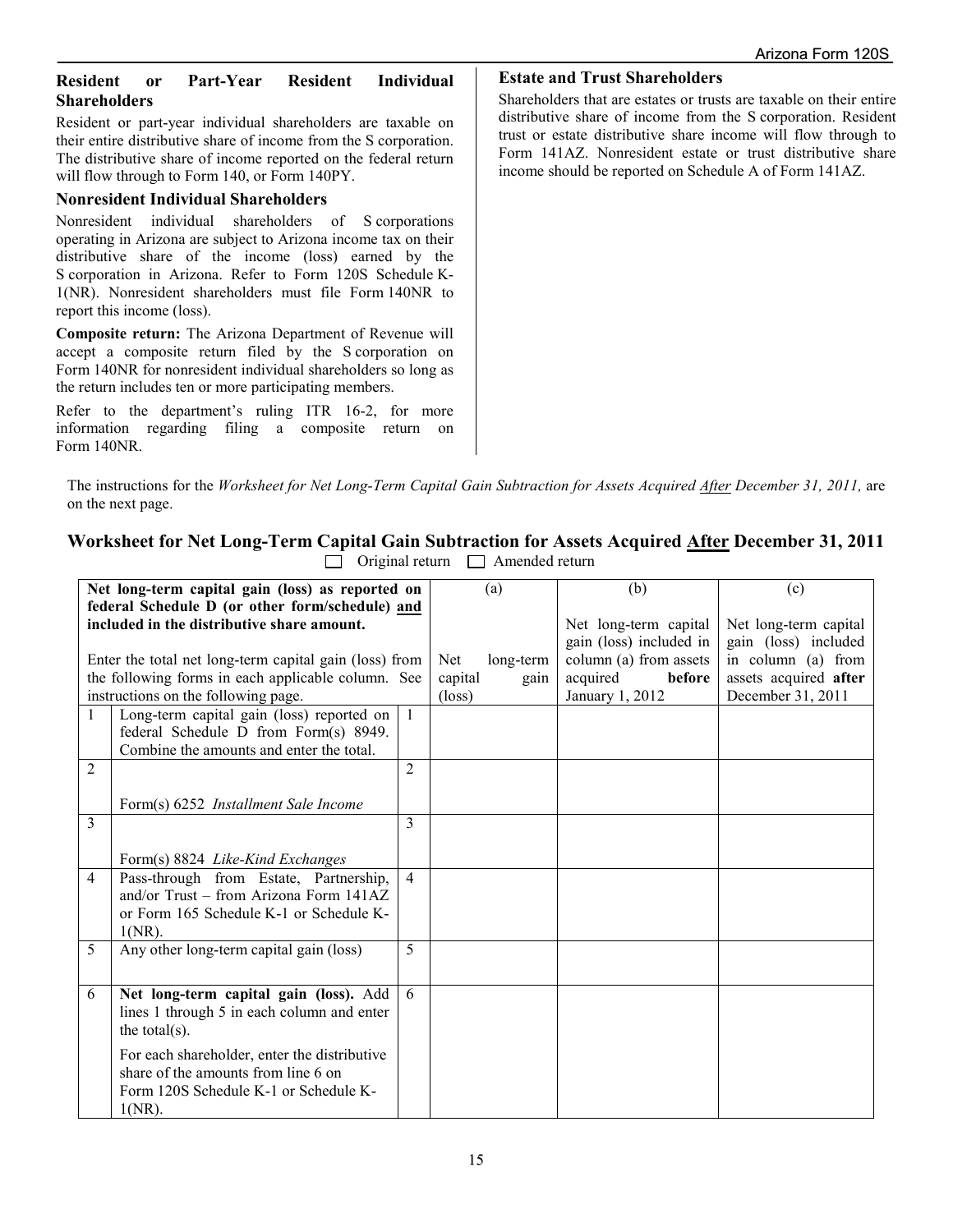## **Resident or Part-Year Resident Individual Shareholders**

Resident or part-year individual shareholders are taxable on their entire distributive share of income from the S corporation. The distributive share of income reported on the federal return will flow through to Form 140, or Form 140PY.

#### **Nonresident Individual Shareholders**

Nonresident individual shareholders of S corporations operating in Arizona are subject to Arizona income tax on their distributive share of the income (loss) earned by the S corporation in Arizona. Refer to Form 120S Schedule K-1(NR). Nonresident shareholders must file Form 140NR to report this income (loss).

**Composite return:** The Arizona Department of Revenue will accept a composite return filed by the S corporation on Form 140NR for nonresident individual shareholders so long as the return includes ten or more participating members.

Refer to the department's ruling ITR 16-2, for more information regarding filing a composite return on Form 140NR.

**Estate and Trust Shareholders**

Shareholders that are estates or trusts are taxable on their entire distributive share of income from the S corporation. Resident trust or estate distributive share income will flow through to Form 141AZ. Nonresident estate or trust distributive share income should be reported on Schedule A of Form 141AZ.

The instructions for the *Worksheet for Net Long-Term Capital Gain Subtraction for Assets Acquired After December 31, 2011,* are on the next page.

# **Worksheet for Net Long-Term Capital Gain Subtraction for Assets Acquired After December 31, 2011**

|                | Net long-term capital gain (loss) as reported on       |                |                 | (a)       | (b)                     | (c)                   |
|----------------|--------------------------------------------------------|----------------|-----------------|-----------|-------------------------|-----------------------|
|                | federal Schedule D (or other form/schedule) and        |                |                 |           |                         |                       |
|                | included in the distributive share amount.             |                |                 |           | Net long-term capital   | Net long-term capital |
|                |                                                        |                |                 |           | gain (loss) included in | gain (loss) included  |
|                | Enter the total net long-term capital gain (loss) from |                | Net             | long-term | column (a) from assets  | in column (a) from    |
|                | the following forms in each applicable column. See     |                | capital         | gain      | before<br>acquired      | assets acquired after |
|                | instructions on the following page.                    |                | $(\text{loss})$ |           | January 1, 2012         | December 31, 2011     |
| $\mathbf{1}$   | Long-term capital gain (loss) reported on              | $\overline{1}$ |                 |           |                         |                       |
|                | federal Schedule D from Form(s) 8949.                  |                |                 |           |                         |                       |
|                | Combine the amounts and enter the total.               |                |                 |           |                         |                       |
| $\overline{2}$ |                                                        | 2              |                 |           |                         |                       |
|                |                                                        |                |                 |           |                         |                       |
|                | Form(s) 6252 <i>Installment Sale Income</i>            |                |                 |           |                         |                       |
| 3              |                                                        | 3              |                 |           |                         |                       |
|                |                                                        |                |                 |           |                         |                       |
|                | Form(s) 8824 Like-Kind Exchanges                       |                |                 |           |                         |                       |
| $\overline{4}$ | Pass-through from Estate, Partnership,                 | $\overline{4}$ |                 |           |                         |                       |
|                | and/or Trust – from Arizona Form 141AZ                 |                |                 |           |                         |                       |
|                | or Form 165 Schedule K-1 or Schedule K-                |                |                 |           |                         |                       |
|                | $1(NR)$ .                                              |                |                 |           |                         |                       |
| 5              | Any other long-term capital gain (loss)                | 5              |                 |           |                         |                       |
|                |                                                        |                |                 |           |                         |                       |
| 6              | Net long-term capital gain (loss). Add                 | 6              |                 |           |                         |                       |
|                | lines 1 through 5 in each column and enter             |                |                 |           |                         |                       |
|                | the total $(s)$ .                                      |                |                 |           |                         |                       |
|                | For each shareholder, enter the distributive           |                |                 |           |                         |                       |
|                | share of the amounts from line 6 on                    |                |                 |           |                         |                       |
|                | Form 120S Schedule K-1 or Schedule K-                  |                |                 |           |                         |                       |
|                |                                                        |                |                 |           |                         |                       |
|                | $1(NR)$ .                                              |                |                 |           |                         |                       |

 $\Box$  Original return  $\Box$  Amended return